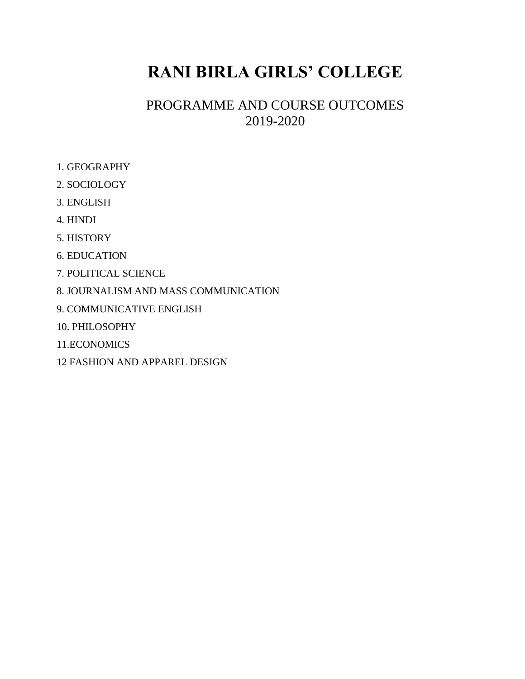# **RANI BIRLA GIRLS' COLLEGE**

## PROGRAMME AND COURSE OUTCOMES 2019-2020

- 1. GEOGRAPHY
- 2. SOCIOLOGY
- 3. ENGLISH
- 4. HINDI
- 5. HISTORY
- 6. EDUCATION
- 7. POLITICAL SCIENCE
- 8. JOURNALISM AND MASS COMMUNICATION
- 9. COMMUNICATIVE ENGLISH
- 10. PHILOSOPHY
- 11.ECONOMICS
- 12 FASHION AND APPAREL DESIGN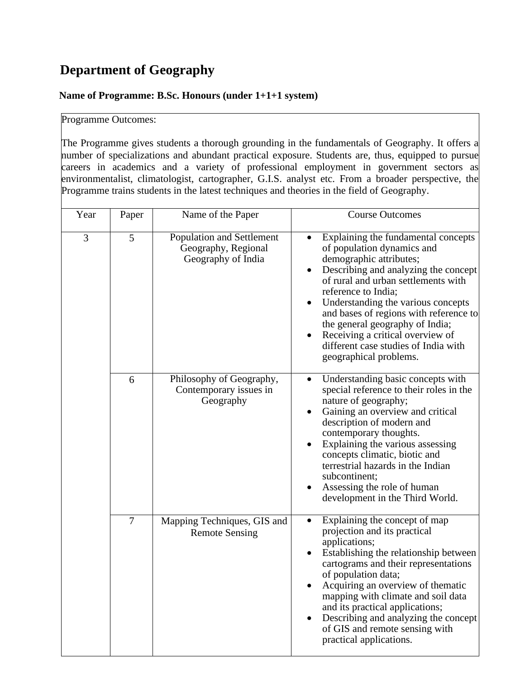## **Department of Geography**

#### **Name of Programme: B.Sc. Honours (under 1+1+1 system)**

### Programme Outcomes:

The Programme gives students a thorough grounding in the fundamentals of Geography. It offers a number of specializations and abundant practical exposure. Students are, thus, equipped to pursue careers in academics and a variety of professional employment in government sectors as environmentalist, climatologist, cartographer, G.I.S. analyst etc. From a broader perspective, the Programme trains students in the latest techniques and theories in the field of Geography.

| Year | Paper | Name of the Paper                                                      | <b>Course Outcomes</b>                                                                                                                                                                                                                                                                                                                                                                                                      |
|------|-------|------------------------------------------------------------------------|-----------------------------------------------------------------------------------------------------------------------------------------------------------------------------------------------------------------------------------------------------------------------------------------------------------------------------------------------------------------------------------------------------------------------------|
| 3    | 5     | Population and Settlement<br>Geography, Regional<br>Geography of India | Explaining the fundamental concepts<br>of population dynamics and<br>demographic attributes;<br>Describing and analyzing the concept<br>of rural and urban settlements with<br>reference to India;<br>Understanding the various concepts<br>and bases of regions with reference to<br>the general geography of India;<br>Receiving a critical overview of<br>different case studies of India with<br>geographical problems. |
|      | 6     | Philosophy of Geography,<br>Contemporary issues in<br>Geography        | Understanding basic concepts with<br>$\bullet$<br>special reference to their roles in the<br>nature of geography;<br>Gaining an overview and critical<br>description of modern and<br>contemporary thoughts.<br>Explaining the various assessing<br>concepts climatic, biotic and<br>terrestrial hazards in the Indian<br>subcontinent;<br>Assessing the role of human<br>development in the Third World.                   |
|      | 7     | Mapping Techniques, GIS and<br><b>Remote Sensing</b>                   | Explaining the concept of map<br>$\bullet$<br>projection and its practical<br>applications;<br>Establishing the relationship between<br>cartograms and their representations<br>of population data;<br>Acquiring an overview of thematic<br>mapping with climate and soil data<br>and its practical applications;<br>Describing and analyzing the concept<br>of GIS and remote sensing with<br>practical applications.      |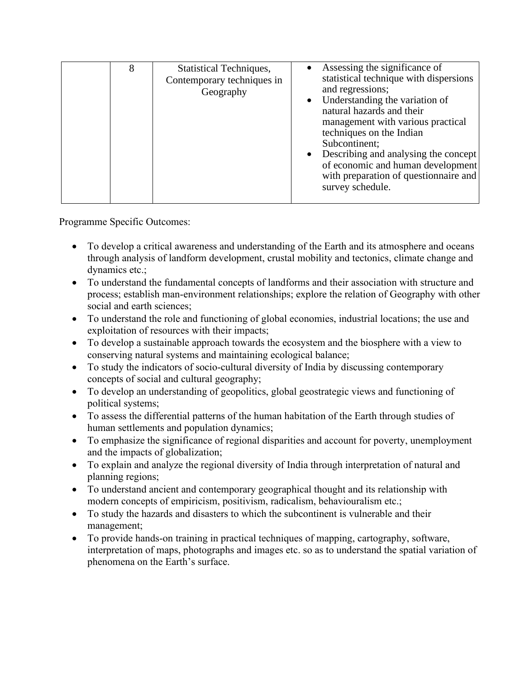|  | 8 | <b>Statistical Techniques,</b><br>Contemporary techniques in<br>Geography | Assessing the significance of<br>statistical technique with dispersions<br>and regressions;<br>Understanding the variation of<br>natural hazards and their<br>management with various practical<br>techniques on the Indian<br>Subcontinent;<br>Describing and analysing the concept<br>of economic and human development<br>with preparation of questionnaire and<br>survey schedule. |
|--|---|---------------------------------------------------------------------------|----------------------------------------------------------------------------------------------------------------------------------------------------------------------------------------------------------------------------------------------------------------------------------------------------------------------------------------------------------------------------------------|
|--|---|---------------------------------------------------------------------------|----------------------------------------------------------------------------------------------------------------------------------------------------------------------------------------------------------------------------------------------------------------------------------------------------------------------------------------------------------------------------------------|

- To develop a critical awareness and understanding of the Earth and its atmosphere and oceans through analysis of landform development, crustal mobility and tectonics, climate change and dynamics etc.;
- To understand the fundamental concepts of landforms and their association with structure and process; establish man-environment relationships; explore the relation of Geography with other social and earth sciences;
- To understand the role and functioning of global economies, industrial locations; the use and exploitation of resources with their impacts;
- To develop a sustainable approach towards the ecosystem and the biosphere with a view to conserving natural systems and maintaining ecological balance;
- To study the indicators of socio-cultural diversity of India by discussing contemporary concepts of social and cultural geography;
- To develop an understanding of geopolitics, global geostrategic views and functioning of political systems;
- To assess the differential patterns of the human habitation of the Earth through studies of human settlements and population dynamics;
- To emphasize the significance of regional disparities and account for poverty, unemployment and the impacts of globalization;
- To explain and analyze the regional diversity of India through interpretation of natural and planning regions;
- To understand ancient and contemporary geographical thought and its relationship with modern concepts of empiricism, positivism, radicalism, behaviouralism etc.;
- To study the hazards and disasters to which the subcontinent is vulnerable and their management;
- To provide hands-on training in practical techniques of mapping, cartography, software, interpretation of maps, photographs and images etc. so as to understand the spatial variation of phenomena on the Earth's surface.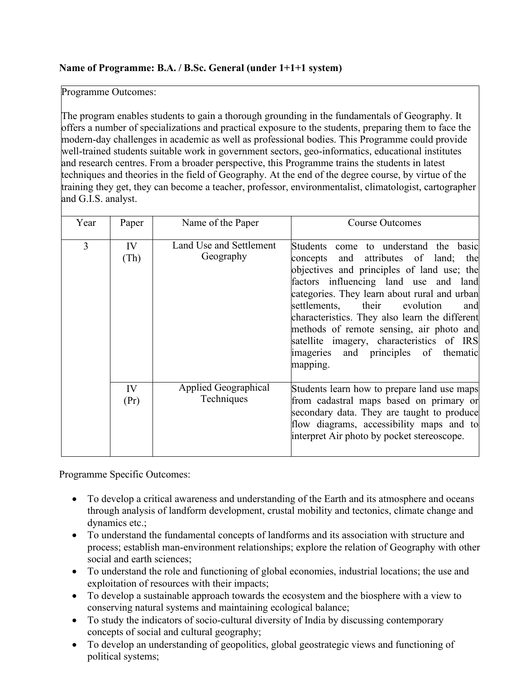### **Name of Programme: B.A. / B.Sc. General (under 1+1+1 system)**

Programme Outcomes:

The program enables students to gain a thorough grounding in the fundamentals of Geography. It offers a number of specializations and practical exposure to the students, preparing them to face the modern-day challenges in academic as well as professional bodies. This Programme could provide well-trained students suitable work in government sectors, geo-informatics, educational institutes and research centres. From a broader perspective, this Programme trains the students in latest techniques and theories in the field of Geography. At the end of the degree course, by virtue of the training they get, they can become a teacher, professor, environmentalist, climatologist, cartographer and G.I.S. analyst.

| Year | Paper         | Name of the Paper                    | <b>Course Outcomes</b>                                                                                                                                                                                                                                                                                                                                                                                                                                           |
|------|---------------|--------------------------------------|------------------------------------------------------------------------------------------------------------------------------------------------------------------------------------------------------------------------------------------------------------------------------------------------------------------------------------------------------------------------------------------------------------------------------------------------------------------|
| 3    | IV<br>(Th)    | Land Use and Settlement<br>Geography | Students come to understand the basic<br>concepts and attributes of land; the<br>objectives and principles of land use; the<br>factors influencing land use and land<br>categories. They learn about rural and urban<br>their<br>evolution<br>settlements,<br>and<br>characteristics. They also learn the different<br>methods of remote sensing, air photo and<br>satellite imagery, characteristics of IRS<br>imageries and principles of thematic<br>mapping. |
|      | IV<br>$(\Pr)$ | Applied Geographical<br>Techniques   | Students learn how to prepare land use maps<br>from cadastral maps based on primary or<br>secondary data. They are taught to produce<br>flow diagrams, accessibility maps and to<br>interpret Air photo by pocket stereoscope.                                                                                                                                                                                                                                   |

Programme Specific Outcomes:

- To develop a critical awareness and understanding of the Earth and its atmosphere and oceans through analysis of landform development, crustal mobility and tectonics, climate change and dynamics etc.;
- To understand the fundamental concepts of landforms and its association with structure and process; establish man-environment relationships; explore the relation of Geography with other social and earth sciences;
- To understand the role and functioning of global economies, industrial locations; the use and exploitation of resources with their impacts;
- To develop a sustainable approach towards the ecosystem and the biosphere with a view to conserving natural systems and maintaining ecological balance;
- To study the indicators of socio-cultural diversity of India by discussing contemporary concepts of social and cultural geography;
- To develop an understanding of geopolitics, global geostrategic views and functioning of political systems;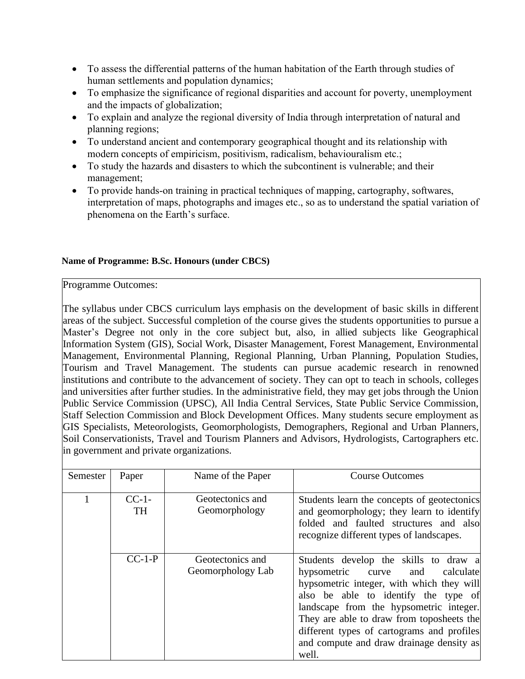- To assess the differential patterns of the human habitation of the Earth through studies of human settlements and population dynamics;
- To emphasize the significance of regional disparities and account for poverty, unemployment and the impacts of globalization;
- To explain and analyze the regional diversity of India through interpretation of natural and planning regions;
- To understand ancient and contemporary geographical thought and its relationship with modern concepts of empiricism, positivism, radicalism, behaviouralism etc.;
- To study the hazards and disasters to which the subcontinent is vulnerable; and their management;
- To provide hands-on training in practical techniques of mapping, cartography, softwares, interpretation of maps, photographs and images etc., so as to understand the spatial variation of phenomena on the Earth's surface.

#### **Name of Programme: B.Sc. Honours (under CBCS)**

Programme Outcomes:

The syllabus under CBCS curriculum lays emphasis on the development of basic skills in different areas of the subject. Successful completion of the course gives the students opportunities to pursue a Master's Degree not only in the core subject but, also, in allied subjects like Geographical Information System (GIS), Social Work, Disaster Management, Forest Management, Environmental Management, Environmental Planning, Regional Planning, Urban Planning, Population Studies, Tourism and Travel Management. The students can pursue academic research in renowned institutions and contribute to the advancement of society. They can opt to teach in schools, colleges and universities after further studies. In the administrative field, they may get jobs through the Union Public Service Commission (UPSC), All India Central Services, State Public Service Commission, Staff Selection Commission and Block Development Offices. Many students secure employment as GIS Specialists, Meteorologists, Geomorphologists, Demographers, Regional and Urban Planners, Soil Conservationists, Travel and Tourism Planners and Advisors, Hydrologists, Cartographers etc. in government and private organizations.

| Semester | Paper                 | Name of the Paper                     | <b>Course Outcomes</b>                                                                                                                                                                                                                                                                                                                                            |
|----------|-----------------------|---------------------------------------|-------------------------------------------------------------------------------------------------------------------------------------------------------------------------------------------------------------------------------------------------------------------------------------------------------------------------------------------------------------------|
|          | $CC-1$ -<br><b>TH</b> | Geotectonics and<br>Geomorphology     | Students learn the concepts of geotectonics<br>and geomorphology; they learn to identify<br>folded and faulted structures and also<br>recognize different types of landscapes.                                                                                                                                                                                    |
|          | $CC-1-P$              | Geotectonics and<br>Geomorphology Lab | Students develop the skills to draw a<br>hypsometric<br>calculate<br>and<br>curve<br>hypsometric integer, with which they will<br>also be able to identify the type of<br>landscape from the hypsometric integer.<br>They are able to draw from toposheets the<br>different types of cartograms and profiles<br>and compute and draw drainage density as<br>well. |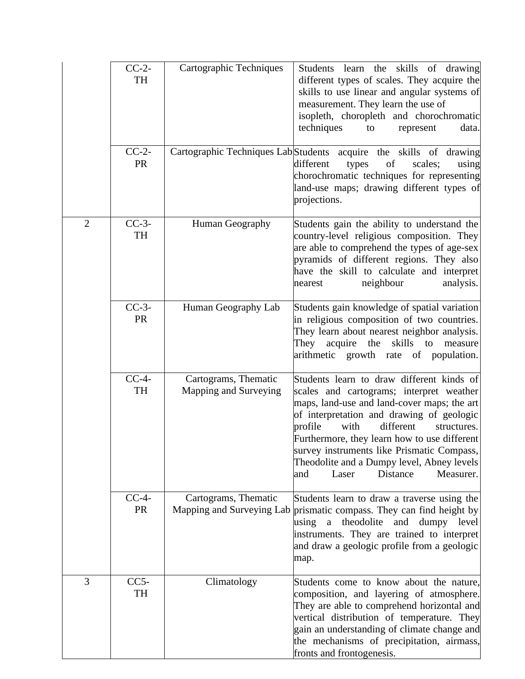|                | $CC-2-$<br>TH        | Cartographic Techniques                       | Students learn the skills of drawing<br>different types of scales. They acquire the<br>skills to use linear and angular systems of<br>measurement. They learn the use of<br>isopleth, choropleth and chorochromatic<br>techniques<br>to<br>represent<br>data.                                                                                                                                                         |
|----------------|----------------------|-----------------------------------------------|-----------------------------------------------------------------------------------------------------------------------------------------------------------------------------------------------------------------------------------------------------------------------------------------------------------------------------------------------------------------------------------------------------------------------|
|                | $CC-2-$<br><b>PR</b> |                                               | Cartographic Techniques Lab Students acquire the skills of drawing<br>different<br>of<br>scales;<br>types<br>using<br>chorochromatic techniques for representing<br>land-use maps; drawing different types of<br>projections.                                                                                                                                                                                         |
| $\overline{2}$ | $CC-3-$<br>TH        | Human Geography                               | Students gain the ability to understand the<br>country-level religious composition. They<br>are able to comprehend the types of age-sex<br>pyramids of different regions. They also<br>have the skill to calculate and interpret<br>neighbour<br>analysis.<br>nearest                                                                                                                                                 |
|                | $CC-3-$<br>PR        | Human Geography Lab                           | Students gain knowledge of spatial variation<br>in religious composition of two countries.<br>They learn about nearest neighbor analysis.<br>They<br>acquire<br>the<br>skills<br>to<br>measure<br>arithmetic growth rate of population.                                                                                                                                                                               |
|                | $CC-4-$<br>TH        | Cartograms, Thematic<br>Mapping and Surveying | Students learn to draw different kinds of<br>scales and cartograms; interpret weather<br>maps, land-use and land-cover maps; the art<br>of interpretation and drawing of geologic<br>different<br>profile<br>with<br>structures.<br>Furthermore, they learn how to use different<br>survey instruments like Prismatic Compass,<br>Theodolite and a Dumpy level, Abney levels<br>Laser<br>Distance<br>Measurer.<br>and |
|                | $CC-4-$<br><b>PR</b> | Cartograms, Thematic                          | Students learn to draw a traverse using the<br>Mapping and Surveying Lab prismatic compass. They can find height by<br>theodolite<br>and dumpy level<br>using<br>$\mathbf{a}$<br>instruments. They are trained to interpret<br>and draw a geologic profile from a geologic<br>map.                                                                                                                                    |
| 3              | $CC5-$<br>TH         | Climatology                                   | Students come to know about the nature,<br>composition, and layering of atmosphere.<br>They are able to comprehend horizontal and<br>vertical distribution of temperature. They<br>gain an understanding of climate change and<br>the mechanisms of precipitation, airmass,<br>fronts and frontogenesis.                                                                                                              |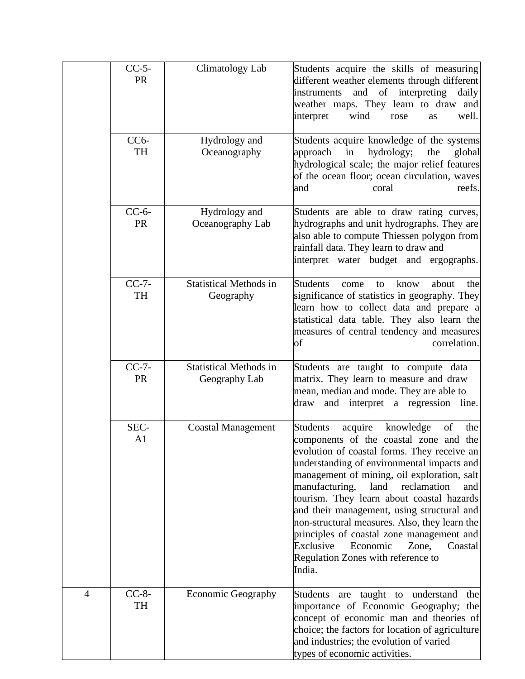|                | $CC-5$ -<br>PR         | Climatology Lab                                | Students acquire the skills of measuring<br>different weather elements through different<br>of<br>interpreting<br>instruments<br>and<br>daily<br>weather maps. They learn to draw and<br>wind<br>well.<br>interpret<br>rose<br>as                                                                                                                                                                                                                                                                                                                                                |
|----------------|------------------------|------------------------------------------------|----------------------------------------------------------------------------------------------------------------------------------------------------------------------------------------------------------------------------------------------------------------------------------------------------------------------------------------------------------------------------------------------------------------------------------------------------------------------------------------------------------------------------------------------------------------------------------|
|                | $CC6-$<br>TH           | Hydrology and<br>Oceanography                  | Students acquire knowledge of the systems<br>hydrology;<br>approach<br>in<br>the<br>global<br>hydrological scale; the major relief features<br>of the ocean floor; ocean circulation, waves<br>reefs.<br>and<br>coral                                                                                                                                                                                                                                                                                                                                                            |
|                | $CC-6-$<br><b>PR</b>   | Hydrology and<br>Oceanography Lab              | Students are able to draw rating curves,<br>hydrographs and unit hydrographs. They are<br>also able to compute Thiessen polygon from<br>rainfall data. They learn to draw and<br>interpret water budget and ergographs.                                                                                                                                                                                                                                                                                                                                                          |
|                | $CC-7-$<br>TH          | <b>Statistical Methods in</b><br>Geography     | <b>Students</b><br>about<br>know<br>the<br>come<br>to<br>significance of statistics in geography. They<br>learn how to collect data and prepare a<br>statistical data table. They also learn the<br>measures of central tendency and measures<br>correlation.<br>of                                                                                                                                                                                                                                                                                                              |
|                | $CC-7-$<br>PR          | <b>Statistical Methods in</b><br>Geography Lab | Students are taught to compute data<br>matrix. They learn to measure and draw<br>mean, median and mode. They are able to<br>and interpret a regression<br>draw<br>line.                                                                                                                                                                                                                                                                                                                                                                                                          |
|                | SEC-<br>A <sub>1</sub> | <b>Coastal Management</b>                      | <b>Students</b><br>acquire<br>knowledge<br>of<br>the<br>components of the coastal zone and the<br>evolution of coastal forms. They receive an<br>understanding of environmental impacts and<br>management of mining, oil exploration, salt<br>manufacturing,<br>land<br>reclamation<br>and<br>tourism. They learn about coastal hazards<br>and their management, using structural and<br>non-structural measures. Also, they learn the<br>principles of coastal zone management and<br>Exclusive<br>Economic<br>Zone,<br>Coastal<br>Regulation Zones with reference to<br>India. |
| $\overline{4}$ | $CC-8-$<br>TH          | <b>Economic Geography</b>                      | understand<br>the<br>Students are<br>taught to<br>importance of Economic Geography;<br>the<br>concept of economic man and theories of<br>choice; the factors for location of agriculture<br>and industries; the evolution of varied<br>types of economic activities.                                                                                                                                                                                                                                                                                                             |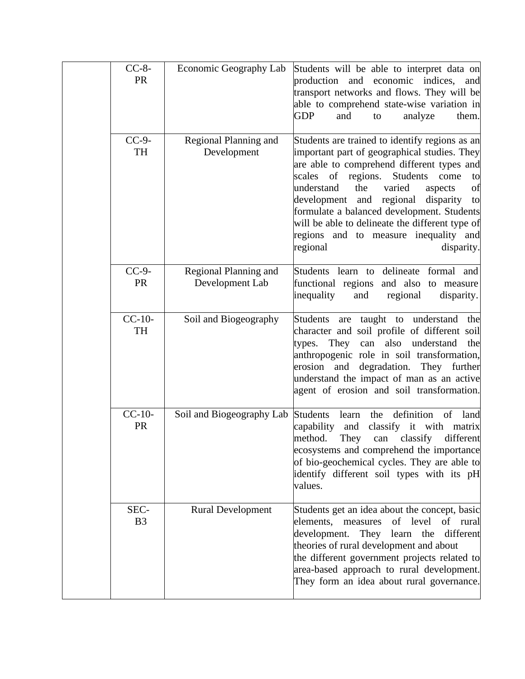| $CC-8-$<br><b>PR</b>   | Economic Geography Lab                   | Students will be able to interpret data on<br>and economic indices,<br>production<br>and<br>transport networks and flows. They will be<br>able to comprehend state-wise variation in<br><b>GDP</b><br>and<br>analyze<br>them.<br>to                                                                                                                                                                                                                                      |
|------------------------|------------------------------------------|--------------------------------------------------------------------------------------------------------------------------------------------------------------------------------------------------------------------------------------------------------------------------------------------------------------------------------------------------------------------------------------------------------------------------------------------------------------------------|
| $CC-9-$<br>TH          | Regional Planning and<br>Development     | Students are trained to identify regions as an<br>important part of geographical studies. They<br>are able to comprehend different types and<br>scales of<br>regions.<br>Students<br>come<br>to<br>the<br>understand<br>varied<br>of<br>aspects<br>regional<br>development<br>and<br>disparity<br>to<br>formulate a balanced development. Students<br>will be able to delineate the different type of<br>regions and to measure inequality and<br>regional<br>disparity. |
| $CC-9-$<br><b>PR</b>   | Regional Planning and<br>Development Lab | Students learn to delineate<br>formal and<br>functional regions and also<br>to measure<br>regional<br>inequality<br>and<br>disparity.                                                                                                                                                                                                                                                                                                                                    |
| $CC-10-$<br><b>TH</b>  | Soil and Biogeography                    | taught to understand<br><b>Students</b><br>are<br>the<br>character and soil profile of different soil<br>understand<br>They<br>can<br>also<br>the<br>types.<br>anthropogenic role in soil transformation,<br>erosion<br>and degradation. They further<br>understand the impact of man as an active<br>agent of erosion and soil transformation.                                                                                                                          |
| $CC-10-$<br>PR         | Soil and Biogeography Lab                | definition<br><b>Students</b><br>of<br>learn<br>the<br>land<br>capability<br>classify it with matrix<br>and<br>method.<br>They<br>different<br>classify<br>can<br>ecosystems and comprehend the importance<br>of bio-geochemical cycles. They are able to<br>identify different soil types with its pH<br>values.                                                                                                                                                        |
| SEC-<br>B <sub>3</sub> | <b>Rural Development</b>                 | Students get an idea about the concept, basic<br>of level<br>elements, measures<br>of rural<br>development.<br>different<br>They learn the<br>theories of rural development and about<br>the different government projects related to<br>area-based approach to rural development.<br>They form an idea about rural governance.                                                                                                                                          |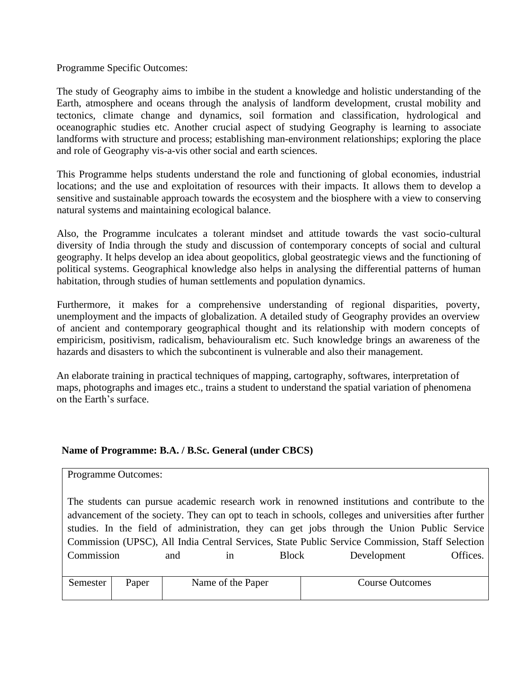The study of Geography aims to imbibe in the student a knowledge and holistic understanding of the Earth, atmosphere and oceans through the analysis of landform development, crustal mobility and tectonics, climate change and dynamics, soil formation and classification, hydrological and oceanographic studies etc. Another crucial aspect of studying Geography is learning to associate landforms with structure and process; establishing man-environment relationships; exploring the place and role of Geography vis-a-vis other social and earth sciences.

This Programme helps students understand the role and functioning of global economies, industrial locations; and the use and exploitation of resources with their impacts. It allows them to develop a sensitive and sustainable approach towards the ecosystem and the biosphere with a view to conserving natural systems and maintaining ecological balance.

Also, the Programme inculcates a tolerant mindset and attitude towards the vast socio-cultural diversity of India through the study and discussion of contemporary concepts of social and cultural geography. It helps develop an idea about geopolitics, global geostrategic views and the functioning of political systems. Geographical knowledge also helps in analysing the differential patterns of human habitation, through studies of human settlements and population dynamics.

Furthermore, it makes for a comprehensive understanding of regional disparities, poverty, unemployment and the impacts of globalization. A detailed study of Geography provides an overview of ancient and contemporary geographical thought and its relationship with modern concepts of empiricism, positivism, radicalism, behaviouralism etc. Such knowledge brings an awareness of the hazards and disasters to which the subcontinent is vulnerable and also their management.

An elaborate training in practical techniques of mapping, cartography, softwares, interpretation of maps, photographs and images etc., trains a student to understand the spatial variation of phenomena on the Earth's surface.

#### **Name of Programme: B.A. / B.Sc. General (under CBCS)**

|                                                                                                                                                                                                                                                                                                                                                                                                          | <b>Programme Outcomes:</b> |  |                   |  |          |                        |  |
|----------------------------------------------------------------------------------------------------------------------------------------------------------------------------------------------------------------------------------------------------------------------------------------------------------------------------------------------------------------------------------------------------------|----------------------------|--|-------------------|--|----------|------------------------|--|
| The students can pursue academic research work in renowned institutions and contribute to the<br>advancement of the society. They can opt to teach in schools, colleges and universities after further<br>studies. In the field of administration, they can get jobs through the Union Public Service<br>Commission (UPSC), All India Central Services, State Public Service Commission, Staff Selection |                            |  |                   |  |          |                        |  |
| Commission<br>Development<br>Block<br>and<br>1n                                                                                                                                                                                                                                                                                                                                                          |                            |  |                   |  | Offices. |                        |  |
| Semester                                                                                                                                                                                                                                                                                                                                                                                                 | Paper                      |  | Name of the Paper |  |          | <b>Course Outcomes</b> |  |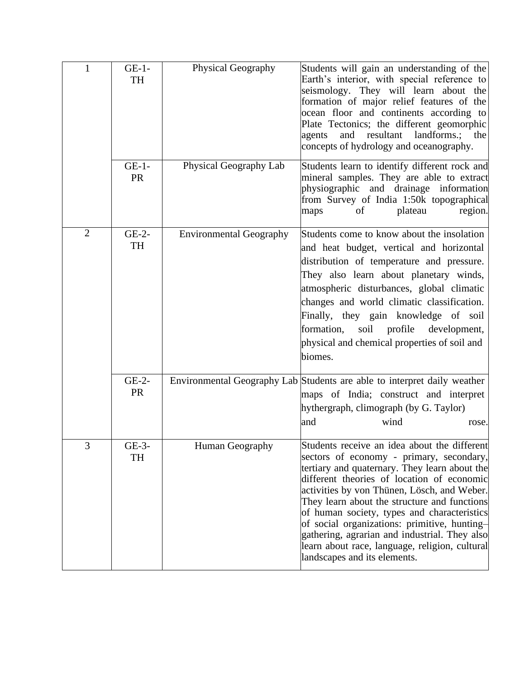| $\mathbf{1}$   | $GE-1-$<br>TH        | Physical Geography             | Students will gain an understanding of the<br>Earth's interior, with special reference to<br>seismology. They will learn about the<br>formation of major relief features of the<br>ocean floor and continents according to<br>Plate Tectonics; the different geomorphic<br>and resultant landforms.;<br>agents<br>the<br>concepts of hydrology and oceanography.                                                                                                                                                         |
|----------------|----------------------|--------------------------------|--------------------------------------------------------------------------------------------------------------------------------------------------------------------------------------------------------------------------------------------------------------------------------------------------------------------------------------------------------------------------------------------------------------------------------------------------------------------------------------------------------------------------|
|                | $GE-1-$<br>PR        | Physical Geography Lab         | Students learn to identify different rock and<br>mineral samples. They are able to extract<br>physiographic and drainage information<br>from Survey of India 1:50k topographical<br>plateau<br>region.<br>maps<br>of                                                                                                                                                                                                                                                                                                     |
| $\overline{2}$ | $GE-2-$<br>TH        | <b>Environmental Geography</b> | Students come to know about the insolation<br>and heat budget, vertical and horizontal<br>distribution of temperature and pressure.<br>They also learn about planetary winds,<br>atmospheric disturbances, global climatic<br>changes and world climatic classification.<br>Finally, they gain knowledge of soil<br>formation,<br>profile<br>development,<br>soil<br>physical and chemical properties of soil and<br>biomes.                                                                                             |
|                | $GE-2-$<br><b>PR</b> |                                | Environmental Geography Lab Students are able to interpret daily weather<br>maps of India; construct and interpret<br>hythergraph, climograph (by G. Taylor)<br>wind<br>and<br>rose.                                                                                                                                                                                                                                                                                                                                     |
| 3              | GE-3-<br>TH          | Human Geography                | Students receive an idea about the different<br>sectors of economy - primary, secondary,<br>tertiary and quaternary. They learn about the<br>different theories of location of economic<br>activities by von Thünen, Lösch, and Weber.<br>They learn about the structure and functions<br>of human society, types and characteristics<br>of social organizations: primitive, hunting-<br>gathering, agrarian and industrial. They also<br>learn about race, language, religion, cultural<br>landscapes and its elements. |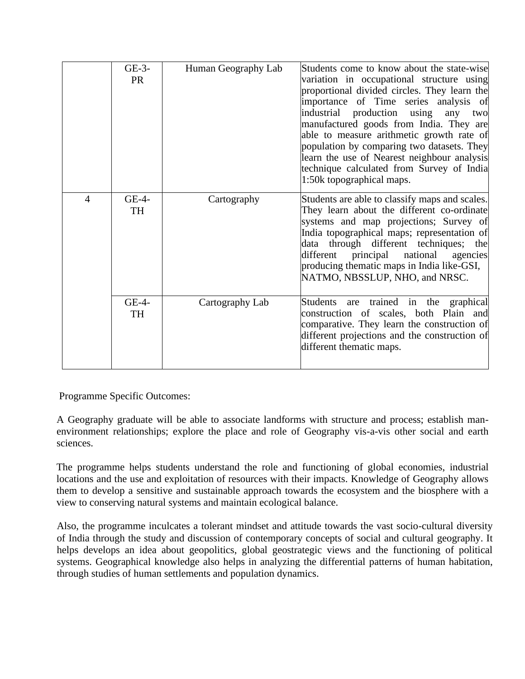|                | $GE-3-$<br><b>PR</b> | Human Geography Lab | Students come to know about the state-wise<br>variation in occupational structure using<br>proportional divided circles. They learn the<br>importance of Time series analysis of<br>industrial production using any<br>two<br>manufactured goods from India. They are<br>able to measure arithmetic growth rate of<br>population by comparing two datasets. They<br>learn the use of Nearest neighbour analysis<br>technique calculated from Survey of India<br>1:50k topographical maps. |
|----------------|----------------------|---------------------|-------------------------------------------------------------------------------------------------------------------------------------------------------------------------------------------------------------------------------------------------------------------------------------------------------------------------------------------------------------------------------------------------------------------------------------------------------------------------------------------|
| $\overline{4}$ | GE-4-<br>TH          | Cartography         | Students are able to classify maps and scales.<br>They learn about the different co-ordinate<br>systems and map projections; Survey of<br>India topographical maps; representation of<br>data through different techniques; the<br>different principal national<br>agencies<br>producing thematic maps in India like-GSI,<br>NATMO, NBSSLUP, NHO, and NRSC.                                                                                                                               |
|                | $GE-4-$<br>TH        | Cartography Lab     | Students are trained in the graphical<br>construction of scales, both Plain and<br>comparative. They learn the construction of<br>different projections and the construction of<br>different thematic maps.                                                                                                                                                                                                                                                                               |

A Geography graduate will be able to associate landforms with structure and process; establish manenvironment relationships; explore the place and role of Geography vis-a-vis other social and earth sciences.

The programme helps students understand the role and functioning of global economies, industrial locations and the use and exploitation of resources with their impacts. Knowledge of Geography allows them to develop a sensitive and sustainable approach towards the ecosystem and the biosphere with a view to conserving natural systems and maintain ecological balance.

Also, the programme inculcates a tolerant mindset and attitude towards the vast socio-cultural diversity of India through the study and discussion of contemporary concepts of social and cultural geography. It helps develops an idea about geopolitics, global geostrategic views and the functioning of political systems. Geographical knowledge also helps in analyzing the differential patterns of human habitation, through studies of human settlements and population dynamics.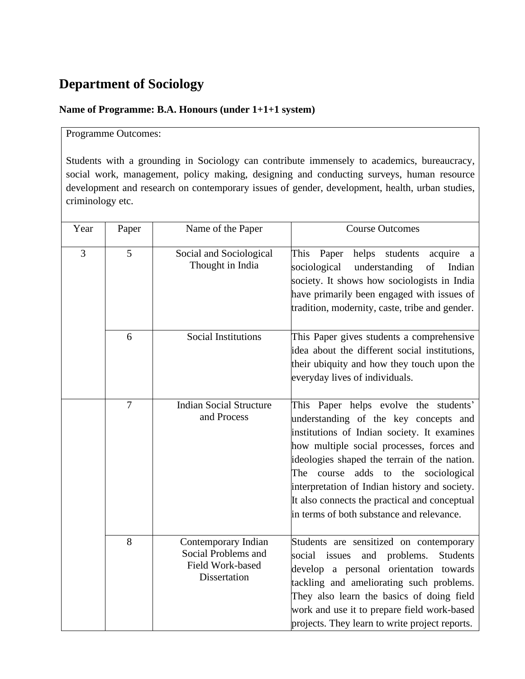## **Department of Sociology**

## **Name of Programme: B.A. Honours (under 1+1+1 system)**

### Programme Outcomes:

Students with a grounding in Sociology can contribute immensely to academics, bureaucracy, social work, management, policy making, designing and conducting surveys, human resource development and research on contemporary issues of gender, development, health, urban studies, criminology etc.

| Year | Paper          | Name of the Paper                                                              | <b>Course Outcomes</b>                                                                                                                                                                                                                                                                                                                                                                                                          |
|------|----------------|--------------------------------------------------------------------------------|---------------------------------------------------------------------------------------------------------------------------------------------------------------------------------------------------------------------------------------------------------------------------------------------------------------------------------------------------------------------------------------------------------------------------------|
| 3    | 5              | Social and Sociological<br>Thought in India                                    | Paper<br>helps<br>students<br>acquire<br>This<br>a<br>understanding<br>sociological<br>of<br>Indian<br>society. It shows how sociologists in India<br>have primarily been engaged with issues of<br>tradition, modernity, caste, tribe and gender.                                                                                                                                                                              |
|      | 6              | <b>Social Institutions</b>                                                     | This Paper gives students a comprehensive<br>idea about the different social institutions,<br>their ubiquity and how they touch upon the<br>everyday lives of individuals.                                                                                                                                                                                                                                                      |
|      | $\overline{7}$ | <b>Indian Social Structure</b><br>and Process                                  | This Paper helps evolve the students'<br>understanding of the key concepts and<br>institutions of Indian society. It examines<br>how multiple social processes, forces and<br>ideologies shaped the terrain of the nation.<br>course<br>adds<br>to<br>the<br>sociological<br>The<br>interpretation of Indian history and society.<br>It also connects the practical and conceptual<br>in terms of both substance and relevance. |
|      | 8              | Contemporary Indian<br>Social Problems and<br>Field Work-based<br>Dissertation | Students are sensitized on contemporary<br>problems.<br>social issues<br>and<br>Students<br>develop a personal orientation towards<br>tackling and ameliorating such problems.<br>They also learn the basics of doing field<br>work and use it to prepare field work-based<br>projects. They learn to write project reports.                                                                                                    |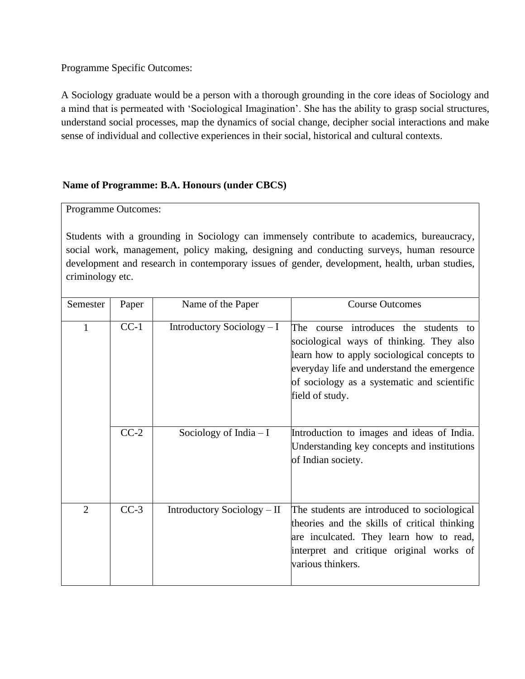A Sociology graduate would be a person with a thorough grounding in the core ideas of Sociology and a mind that is permeated with 'Sociological Imagination'. She has the ability to grasp social structures, understand social processes, map the dynamics of social change, decipher social interactions and make sense of individual and collective experiences in their social, historical and cultural contexts.

#### **Name of Programme: B.A. Honours (under CBCS)**

Programme Outcomes:

Students with a grounding in Sociology can immensely contribute to academics, bureaucracy, social work, management, policy making, designing and conducting surveys, human resource development and research in contemporary issues of gender, development, health, urban studies, criminology etc.

| Semester       | Paper  | Name of the Paper           | <b>Course Outcomes</b>                                                                                                                                                                                                                              |
|----------------|--------|-----------------------------|-----------------------------------------------------------------------------------------------------------------------------------------------------------------------------------------------------------------------------------------------------|
| 1              | $CC-1$ | Introductory Sociology $-I$ | The<br>course introduces the students to<br>sociological ways of thinking. They also<br>learn how to apply sociological concepts to<br>everyday life and understand the emergence<br>of sociology as a systematic and scientific<br>field of study. |
|                | $CC-2$ | Sociology of India $-I$     | Introduction to images and ideas of India.<br>Understanding key concepts and institutions<br>of Indian society.                                                                                                                                     |
| $\overline{2}$ | $CC-3$ | Introductory Sociology – II | The students are introduced to sociological<br>theories and the skills of critical thinking<br>are inculcated. They learn how to read,<br>interpret and critique original works of<br>various thinkers.                                             |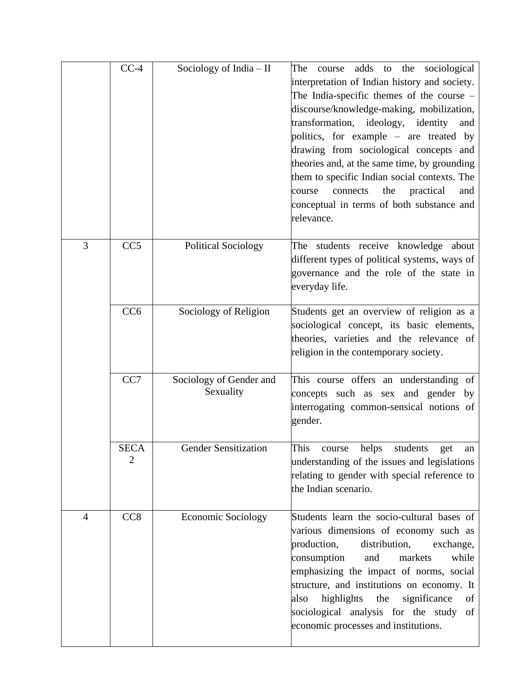|   | $CC-4$          | Sociology of India - II              | The<br>adds to the sociological<br>course<br>interpretation of Indian history and society.<br>The India-specific themes of the course -<br>discourse/knowledge-making, mobilization,<br>transformation, ideology, identity<br>and<br>politics, for example – are treated by<br>drawing from sociological concepts and<br>theories and, at the same time, by grounding<br>them to specific Indian social contexts. The<br>practical<br>connects<br>the<br>course<br>and<br>conceptual in terms of both substance and<br>relevance. |
|---|-----------------|--------------------------------------|-----------------------------------------------------------------------------------------------------------------------------------------------------------------------------------------------------------------------------------------------------------------------------------------------------------------------------------------------------------------------------------------------------------------------------------------------------------------------------------------------------------------------------------|
| 3 | CC <sub>5</sub> | <b>Political Sociology</b>           | The students receive knowledge about<br>different types of political systems, ways of<br>governance and the role of the state in<br>everyday life.                                                                                                                                                                                                                                                                                                                                                                                |
|   | CC <sub>6</sub> | Sociology of Religion                | Students get an overview of religion as a<br>sociological concept, its basic elements,<br>theories, varieties and the relevance of<br>religion in the contemporary society.                                                                                                                                                                                                                                                                                                                                                       |
|   | CC7             | Sociology of Gender and<br>Sexuality | This course offers an understanding of<br>concepts such as sex and gender by<br>interrogating common-sensical notions of<br>gender.                                                                                                                                                                                                                                                                                                                                                                                               |
|   | SECA<br>2       | <b>Gender Sensitization</b>          | This<br>course<br>helps<br>students<br>get<br>an<br>understanding of the issues and legislations<br>relating to gender with special reference to<br>the Indian scenario.                                                                                                                                                                                                                                                                                                                                                          |
| 4 | CC <sub>8</sub> | Economic Sociology                   | Students learn the socio-cultural bases of<br>various dimensions of economy such as<br>production,<br>distribution,<br>exchange,<br>consumption<br>and<br>while<br>markets<br>emphasizing the impact of norms, social<br>structure, and institutions on economy. It<br>highlights<br>significance<br>the<br>also<br>οf<br>sociological analysis for the study<br>of<br>economic processes and institutions.                                                                                                                       |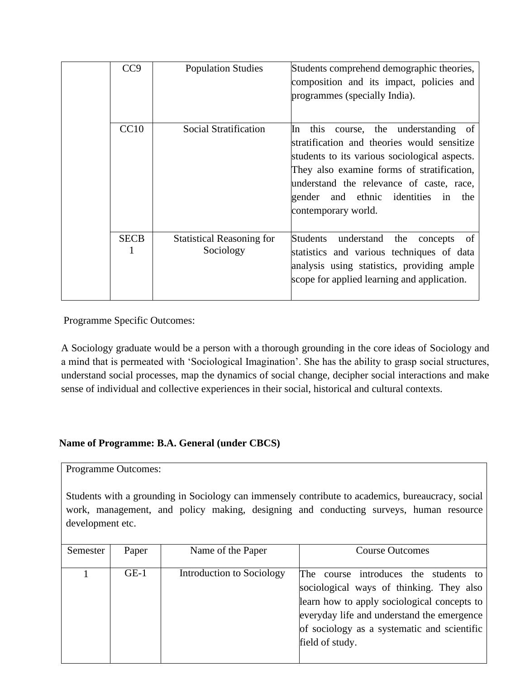| CC <sub>9</sub>  | <b>Population Studies</b>                     | Students comprehend demographic theories,<br>composition and its impact, policies and<br>programmes (specially India).                                                                                                                                                                                |
|------------------|-----------------------------------------------|-------------------------------------------------------------------------------------------------------------------------------------------------------------------------------------------------------------------------------------------------------------------------------------------------------|
| CC10             | Social Stratification                         | this<br>course, the understanding of<br>In<br>stratification and theories would sensitize<br>students to its various sociological aspects.<br>They also examine forms of stratification,<br>understand the relevance of caste, race,<br>gender and ethnic identities in<br>the<br>contemporary world. |
| <b>SECB</b><br>1 | <b>Statistical Reasoning for</b><br>Sociology | Students<br>understand<br>the<br>concepts<br>0f<br>statistics and various techniques of data<br>analysis using statistics, providing ample<br>scope for applied learning and application.                                                                                                             |

A Sociology graduate would be a person with a thorough grounding in the core ideas of Sociology and a mind that is permeated with 'Sociological Imagination'. She has the ability to grasp social structures, understand social processes, map the dynamics of social change, decipher social interactions and make sense of individual and collective experiences in their social, historical and cultural contexts.

#### **Name of Programme: B.A. General (under CBCS)**

Programme Outcomes:

Students with a grounding in Sociology can immensely contribute to academics, bureaucracy, social work, management, and policy making, designing and conducting surveys, human resource development etc.

| Semester | Paper  | Name of the Paper         | <b>Course Outcomes</b>                                                                                                                                                                                                                           |
|----------|--------|---------------------------|--------------------------------------------------------------------------------------------------------------------------------------------------------------------------------------------------------------------------------------------------|
|          | $GE-1$ | Introduction to Sociology | The course introduces the students to<br>sociological ways of thinking. They also<br>learn how to apply sociological concepts to<br>everyday life and understand the emergence<br>of sociology as a systematic and scientific<br>field of study. |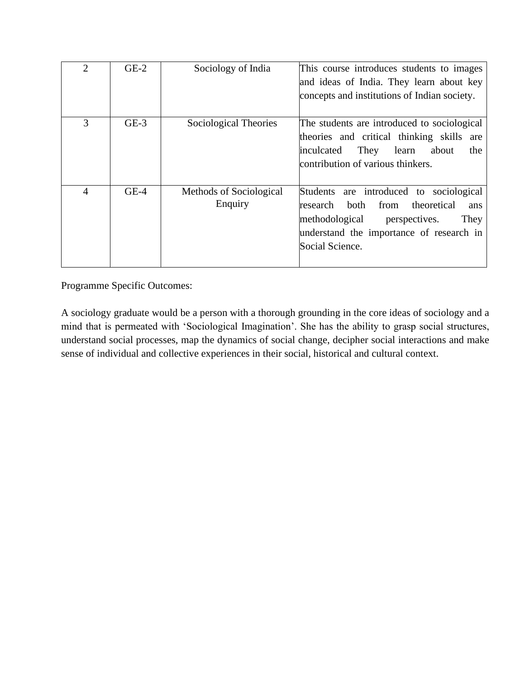| $\overline{2}$ | $GE-2$ | Sociology of India                 | This course introduces students to images<br>and ideas of India. They learn about key<br>concepts and institutions of Indian society.                                                               |
|----------------|--------|------------------------------------|-----------------------------------------------------------------------------------------------------------------------------------------------------------------------------------------------------|
| 3              | $GE-3$ | Sociological Theories              | The students are introduced to sociological<br>theories and critical thinking skills are<br>They<br>learn<br>about<br>inculcated<br>the<br>contribution of various thinkers.                        |
| $\overline{4}$ | $GE-4$ | Methods of Sociological<br>Enquiry | Students are introduced to sociological<br>from<br>theoretical<br>both<br>research<br>ans<br>methodological<br>They<br>perspectives.<br>understand the importance of research in<br>Social Science. |

A sociology graduate would be a person with a thorough grounding in the core ideas of sociology and a mind that is permeated with 'Sociological Imagination'. She has the ability to grasp social structures, understand social processes, map the dynamics of social change, decipher social interactions and make sense of individual and collective experiences in their social, historical and cultural context.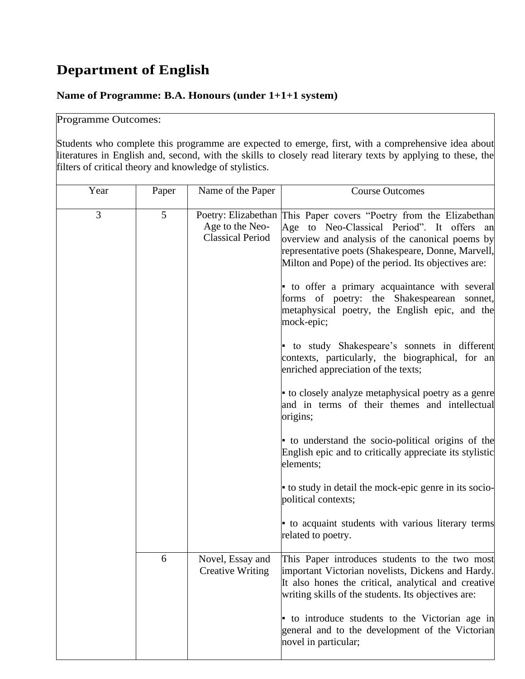## **Department of English**

### **Name of Programme: B.A. Honours (under 1+1+1 system)**

### Programme Outcomes:

Students who complete this programme are expected to emerge, first, with a comprehensive idea about literatures in English and, second, with the skills to closely read literary texts by applying to these, the filters of critical theory and knowledge of stylistics.

| Year | Paper | Name of the Paper                           | <b>Course Outcomes</b>                                                                                                                                                                                                                                                                                                                                                            |
|------|-------|---------------------------------------------|-----------------------------------------------------------------------------------------------------------------------------------------------------------------------------------------------------------------------------------------------------------------------------------------------------------------------------------------------------------------------------------|
| 3    | 5     | Age to the Neo-<br><b>Classical Period</b>  | Poetry: Elizabethan This Paper covers "Poetry from the Elizabethan<br>Age to Neo-Classical Period". It offers an<br>overview and analysis of the canonical poems by<br>representative poets (Shakespeare, Donne, Marvell,<br>Milton and Pope) of the period. Its objectives are:<br>to offer a primary acquaintance with several<br>forms of poetry: the Shakespearean<br>sonnet, |
|      |       |                                             | metaphysical poetry, the English epic, and the<br>mock-epic;                                                                                                                                                                                                                                                                                                                      |
|      |       |                                             | • to study Shakespeare's sonnets in different<br>contexts, particularly, the biographical, for an<br>enriched appreciation of the texts;                                                                                                                                                                                                                                          |
|      |       |                                             | • to closely analyze metaphysical poetry as a genre<br>and in terms of their themes and intellectual<br>origins;                                                                                                                                                                                                                                                                  |
|      |       |                                             | • to understand the socio-political origins of the<br>English epic and to critically appreciate its stylistic<br>elements;                                                                                                                                                                                                                                                        |
|      |       |                                             | to study in detail the mock-epic genre in its socio-<br>political contexts;                                                                                                                                                                                                                                                                                                       |
|      |       |                                             | to acquaint students with various literary terms<br>related to poetry.                                                                                                                                                                                                                                                                                                            |
|      | 6     | Novel, Essay and<br><b>Creative Writing</b> | This Paper introduces students to the two most<br>important Victorian novelists, Dickens and Hardy.<br>It also hones the critical, analytical and creative<br>writing skills of the students. Its objectives are:                                                                                                                                                                 |
|      |       |                                             | to introduce students to the Victorian age in<br>general and to the development of the Victorian<br>novel in particular;                                                                                                                                                                                                                                                          |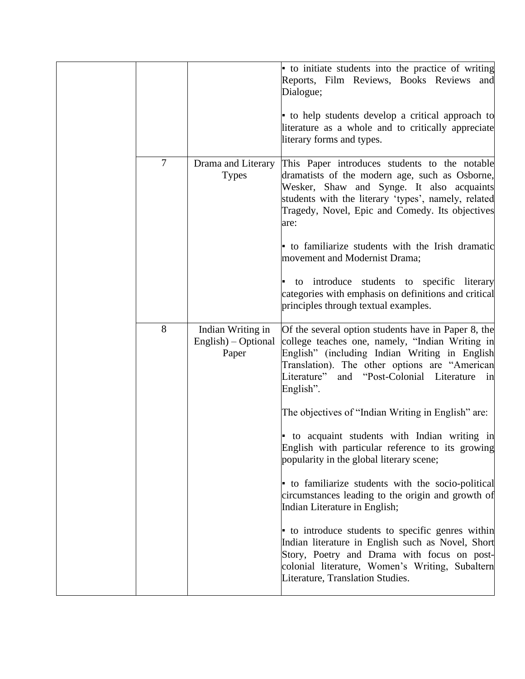|                |                                                   | to initiate students into the practice of writing<br>Reports, Film Reviews, Books Reviews and<br>Dialogue;                                                                                                                                                                  |
|----------------|---------------------------------------------------|-----------------------------------------------------------------------------------------------------------------------------------------------------------------------------------------------------------------------------------------------------------------------------|
|                |                                                   | • to help students develop a critical approach to<br>literature as a whole and to critically appreciate<br>literary forms and types.                                                                                                                                        |
| $\overline{7}$ | Drama and Literary<br><b>Types</b>                | This Paper introduces students to the notable<br>dramatists of the modern age, such as Osborne,<br>Wesker, Shaw and Synge. It also acquaints<br>students with the literary 'types', namely, related<br>Tragedy, Novel, Epic and Comedy. Its objectives<br>are:              |
|                |                                                   | to familiarize students with the Irish dramatic<br>movement and Modernist Drama;                                                                                                                                                                                            |
|                |                                                   | to introduce students to specific literary<br>categories with emphasis on definitions and critical<br>principles through textual examples.                                                                                                                                  |
| 8              | Indian Writing in<br>English) – Optional<br>Paper | Of the several option students have in Paper 8, the<br>college teaches one, namely, "Indian Writing in<br>English" (including Indian Writing in English<br>Translation). The other options are "American<br>and "Post-Colonial Literature<br>Literature"<br>1n<br>English". |
|                |                                                   | The objectives of "Indian Writing in English" are:                                                                                                                                                                                                                          |
|                |                                                   | to acquaint students with Indian writing in<br>English with particular reference to its growing<br>popularity in the global literary scene;                                                                                                                                 |
|                |                                                   | to familiarize students with the socio-political<br>circumstances leading to the origin and growth of<br>Indian Literature in English;                                                                                                                                      |
|                |                                                   | to introduce students to specific genres within<br>Indian literature in English such as Novel, Short<br>Story, Poetry and Drama with focus on post-<br>colonial literature, Women's Writing, Subaltern<br>Literature, Translation Studies.                                  |
|                |                                                   |                                                                                                                                                                                                                                                                             |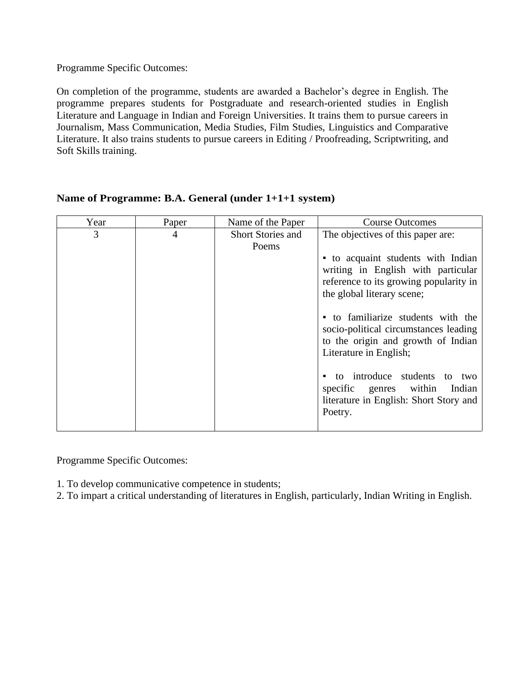On completion of the programme, students are awarded a Bachelor's degree in English. The programme prepares students for Postgraduate and research-oriented studies in English Literature and Language in Indian and Foreign Universities. It trains them to pursue careers in Journalism, Mass Communication, Media Studies, Film Studies, Linguistics and Comparative Literature. It also trains students to pursue careers in Editing / Proofreading, Scriptwriting, and Soft Skills training.

| Year | Paper | Name of the Paper                 | <b>Course Outcomes</b>                                                                                                                                                                                                                                                                                                                                                                                                                                 |
|------|-------|-----------------------------------|--------------------------------------------------------------------------------------------------------------------------------------------------------------------------------------------------------------------------------------------------------------------------------------------------------------------------------------------------------------------------------------------------------------------------------------------------------|
| 3    | 4     | <b>Short Stories and</b><br>Poems | The objectives of this paper are:<br>• to acquaint students with Indian<br>writing in English with particular<br>reference to its growing popularity in<br>the global literary scene;<br>to familiarize students with the<br>socio-political circumstances leading<br>to the origin and growth of Indian<br>Literature in English;<br>to introduce students<br>to<br>two<br>specific genres within<br>Indian<br>literature in English: Short Story and |
|      |       |                                   | Poetry.                                                                                                                                                                                                                                                                                                                                                                                                                                                |

#### **Name of Programme: B.A. General (under 1+1+1 system)**

Programme Specific Outcomes:

- 1. To develop communicative competence in students;
- 2. To impart a critical understanding of literatures in English, particularly, Indian Writing in English.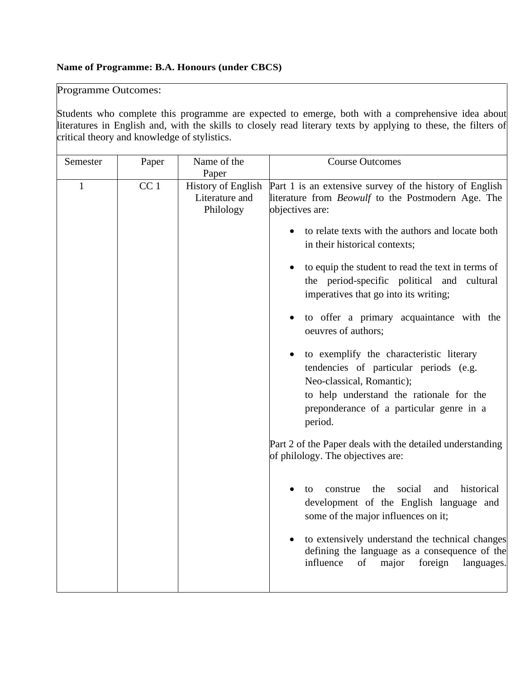#### **Name of Programme: B.A. Honours (under CBCS)**

Programme Outcomes:

Students who complete this programme are expected to emerge, both with a comprehensive idea about literatures in English and, with the skills to closely read literary texts by applying to these, the filters of critical theory and knowledge of stylistics.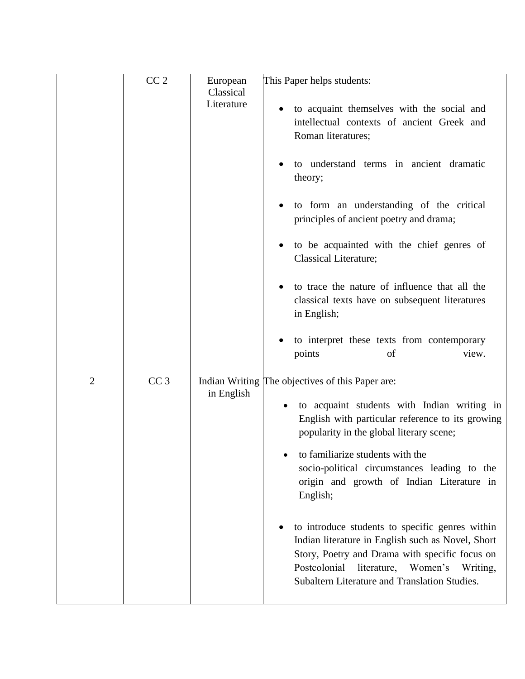|                | CC <sub>2</sub> | European                | This Paper helps students:                                                                                                                                                                                                                              |
|----------------|-----------------|-------------------------|---------------------------------------------------------------------------------------------------------------------------------------------------------------------------------------------------------------------------------------------------------|
|                |                 | Classical<br>Literature | to acquaint themselves with the social and<br>intellectual contexts of ancient Greek and<br>Roman literatures;                                                                                                                                          |
|                |                 |                         | to understand terms in ancient dramatic<br>theory;                                                                                                                                                                                                      |
|                |                 |                         | to form an understanding of the critical<br>principles of ancient poetry and drama;                                                                                                                                                                     |
|                |                 |                         | to be acquainted with the chief genres of<br><b>Classical Literature;</b>                                                                                                                                                                               |
|                |                 |                         | to trace the nature of influence that all the<br>classical texts have on subsequent literatures<br>in English;                                                                                                                                          |
|                |                 |                         | to interpret these texts from contemporary<br>points<br>of<br>view.                                                                                                                                                                                     |
| $\overline{2}$ | CC <sub>3</sub> | in English              | Indian Writing The objectives of this Paper are:                                                                                                                                                                                                        |
|                |                 |                         | to acquaint students with Indian writing in<br>English with particular reference to its growing<br>popularity in the global literary scene;                                                                                                             |
|                |                 |                         | to familiarize students with the<br>socio-political circumstances leading to the<br>origin and growth of Indian Literature in<br>English;                                                                                                               |
|                |                 |                         | to introduce students to specific genres within<br>Indian literature in English such as Novel, Short<br>Story, Poetry and Drama with specific focus on<br>Postcolonial<br>literature, Women's Writing,<br>Subaltern Literature and Translation Studies. |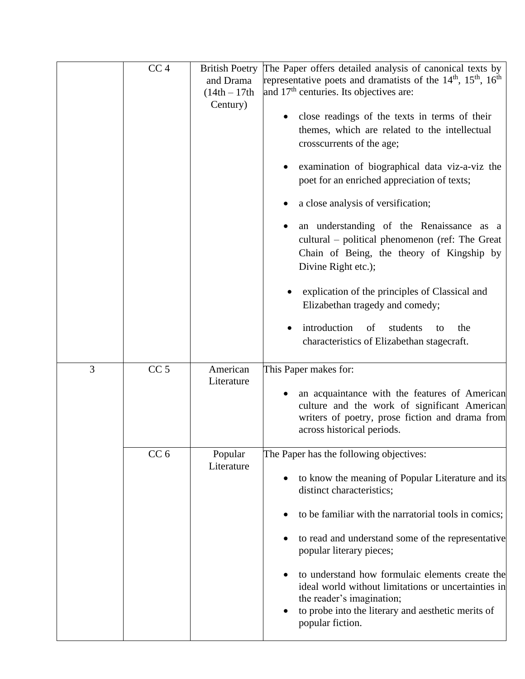|   | CC <sub>4</sub> | <b>British Poetry</b><br>and Drama<br>$(14th - 17th)$<br>Century) | The Paper offers detailed analysis of canonical texts by<br>representative poets and dramatists of the $14th$ , $15th$ , $16th$<br>and 17 <sup>th</sup> centuries. Its objectives are:<br>close readings of the texts in terms of their<br>themes, which are related to the intellectual<br>crosscurrents of the age;<br>examination of biographical data viz-a-viz the<br>poet for an enriched appreciation of texts;<br>a close analysis of versification;<br>an understanding of the Renaissance as a<br>cultural – political phenomenon (ref: The Great<br>Chain of Being, the theory of Kingship by<br>Divine Right etc.);<br>explication of the principles of Classical and<br>Elizabethan tragedy and comedy;<br>introduction<br>of<br>students<br>the<br>to<br>$\bullet$<br>characteristics of Elizabethan stagecraft. |
|---|-----------------|-------------------------------------------------------------------|--------------------------------------------------------------------------------------------------------------------------------------------------------------------------------------------------------------------------------------------------------------------------------------------------------------------------------------------------------------------------------------------------------------------------------------------------------------------------------------------------------------------------------------------------------------------------------------------------------------------------------------------------------------------------------------------------------------------------------------------------------------------------------------------------------------------------------|
| 3 | CC <sub>5</sub> | American<br>Literature                                            | This Paper makes for:<br>an acquaintance with the features of American<br>culture and the work of significant American<br>writers of poetry, prose fiction and drama from<br>across historical periods.                                                                                                                                                                                                                                                                                                                                                                                                                                                                                                                                                                                                                        |
|   | CC <sub>6</sub> | Popular<br>Literature                                             | The Paper has the following objectives:<br>to know the meaning of Popular Literature and its<br>distinct characteristics;<br>to be familiar with the narratorial tools in comics;<br>to read and understand some of the representative<br>popular literary pieces;<br>to understand how formulaic elements create the<br>ideal world without limitations or uncertainties in<br>the reader's imagination;<br>to probe into the literary and aesthetic merits of<br>popular fiction.                                                                                                                                                                                                                                                                                                                                            |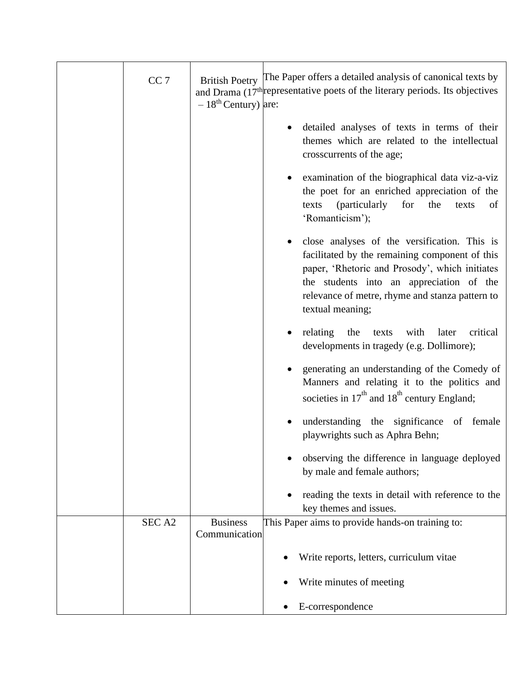| CC <sub>7</sub>   | $-18th$ Century) are:            | British Poetry The Paper offers a detailed analysis of canonical texts by<br>and Drama (17 <sup>th</sup> representative poets of the literary periods. Its objectives                                                                                               |
|-------------------|----------------------------------|---------------------------------------------------------------------------------------------------------------------------------------------------------------------------------------------------------------------------------------------------------------------|
|                   |                                  | detailed analyses of texts in terms of their<br>themes which are related to the intellectual<br>crosscurrents of the age;                                                                                                                                           |
|                   |                                  | examination of the biographical data viz-a-viz<br>the poet for an enriched appreciation of the<br><i>(particularly</i><br>for<br>the<br>texts<br>texts<br>of<br>'Romanticism');                                                                                     |
|                   |                                  | close analyses of the versification. This is<br>facilitated by the remaining component of this<br>paper, 'Rhetoric and Prosody', which initiates<br>the students into an appreciation of the<br>relevance of metre, rhyme and stanza pattern to<br>textual meaning; |
|                   |                                  | relating<br>the<br>texts with<br>critical<br>later<br>developments in tragedy (e.g. Dollimore);                                                                                                                                                                     |
|                   |                                  | generating an understanding of the Comedy of<br>Manners and relating it to the politics and<br>societies in $17th$ and $18th$ century England;                                                                                                                      |
|                   |                                  | understanding the significance of female<br>playwrights such as Aphra Behn;                                                                                                                                                                                         |
|                   |                                  | observing the difference in language deployed<br>by male and female authors;                                                                                                                                                                                        |
|                   |                                  | reading the texts in detail with reference to the<br>key themes and issues.                                                                                                                                                                                         |
| SEC <sub>A2</sub> | <b>Business</b><br>Communication | This Paper aims to provide hands-on training to:                                                                                                                                                                                                                    |
|                   |                                  | Write reports, letters, curriculum vitae                                                                                                                                                                                                                            |
|                   |                                  | Write minutes of meeting                                                                                                                                                                                                                                            |
|                   |                                  | E-correspondence                                                                                                                                                                                                                                                    |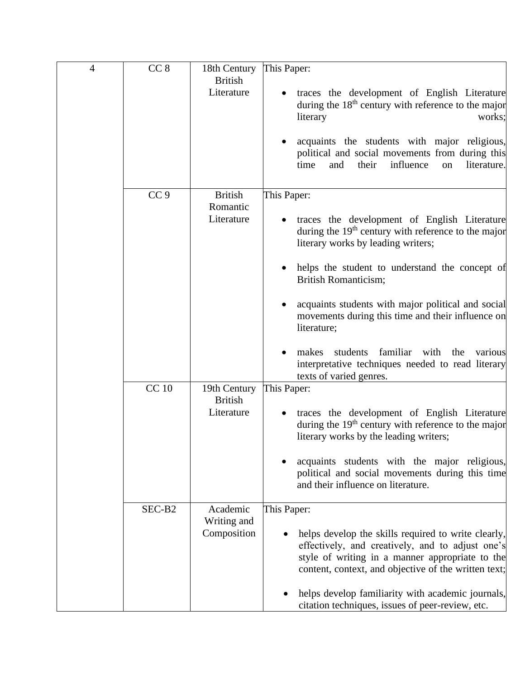| 4 | CC <sub>8</sub> | 18th Century                   | This Paper:                                                                                                                                                                                                        |
|---|-----------------|--------------------------------|--------------------------------------------------------------------------------------------------------------------------------------------------------------------------------------------------------------------|
|   |                 | <b>British</b><br>Literature   | traces the development of English Literature<br>during the $18th$ century with reference to the major<br>literary<br>works;                                                                                        |
|   |                 |                                | acquaints the students with major religious,<br>political and social movements from during this<br>influence<br>time<br>and<br>their<br>literature.<br>on                                                          |
|   | CC <sub>9</sub> | <b>British</b>                 | This Paper:                                                                                                                                                                                                        |
|   |                 | Romantic<br>Literature         | traces the development of English Literature<br>during the 19 <sup>th</sup> century with reference to the major<br>literary works by leading writers;                                                              |
|   |                 |                                | helps the student to understand the concept of<br><b>British Romanticism;</b>                                                                                                                                      |
|   |                 |                                | acquaints students with major political and social<br>movements during this time and their influence on<br>literature;                                                                                             |
|   |                 |                                | familiar with the<br>makes<br>students<br>various<br>interpretative techniques needed to read literary<br>texts of varied genres.                                                                                  |
|   | <b>CC</b> 10    | 19th Century<br><b>British</b> | This Paper:                                                                                                                                                                                                        |
|   |                 | Literature                     | traces the development of English Literature<br>during the 19 <sup>th</sup> century with reference to the major<br>literary works by the leading writers;                                                          |
|   |                 |                                | acquaints students with the major religious,<br>political and social movements during this time<br>and their influence on literature.                                                                              |
|   | SEC-B2          | Academic                       | This Paper:                                                                                                                                                                                                        |
|   |                 | Writing and<br>Composition     | helps develop the skills required to write clearly,<br>effectively, and creatively, and to adjust one's<br>style of writing in a manner appropriate to the<br>content, context, and objective of the written text; |
|   |                 |                                | helps develop familiarity with academic journals,<br>citation techniques, issues of peer-review, etc.                                                                                                              |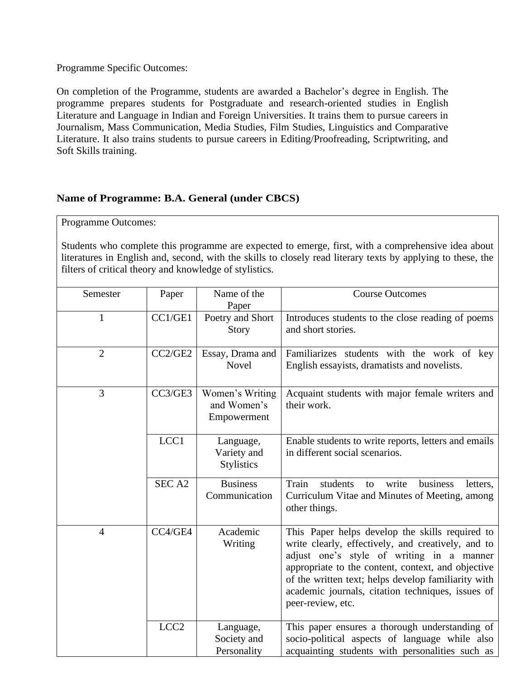On completion of the Programme, students are awarded a Bachelor's degree in English. The programme prepares students for Postgraduate and research-oriented studies in English Literature and Language in Indian and Foreign Universities. It trains them to pursue careers in Journalism, Mass Communication, Media Studies, Film Studies, Linguistics and Comparative Literature. It also trains students to pursue careers in Editing/Proofreading, Scriptwriting, and Soft Skills training.

### **Name of Programme: B.A. General (under CBCS)**

Programme Outcomes:

Students who complete this programme are expected to emerge, first, with a comprehensive idea about literatures in English and, second, with the skills to closely read literary texts by applying to these, the filters of critical theory and knowledge of stylistics.

| Semester       | Paper             | Name of the<br>Paper                          | <b>Course Outcomes</b>                                                                                                                                                                                                                                                                                                                    |
|----------------|-------------------|-----------------------------------------------|-------------------------------------------------------------------------------------------------------------------------------------------------------------------------------------------------------------------------------------------------------------------------------------------------------------------------------------------|
| 1              | CC1/GE1           | Poetry and Short<br><b>Story</b>              | Introduces students to the close reading of poems<br>and short stories.                                                                                                                                                                                                                                                                   |
| $\overline{2}$ | CC2/GE2           | Essay, Drama and<br><b>Novel</b>              | Familiarizes students with the work of key<br>English essayists, dramatists and novelists.                                                                                                                                                                                                                                                |
| 3              | CC3/GE3           | Women's Writing<br>and Women's<br>Empowerment | Acquaint students with major female writers and<br>their work.                                                                                                                                                                                                                                                                            |
|                | LCC1              | Language,<br>Variety and<br><b>Stylistics</b> | Enable students to write reports, letters and emails<br>in different social scenarios.                                                                                                                                                                                                                                                    |
|                | SEC <sub>A2</sub> | <b>Business</b><br>Communication              | Train<br>students<br>write<br>business<br>letters,<br>to<br>Curriculum Vitae and Minutes of Meeting, among<br>other things.                                                                                                                                                                                                               |
| $\overline{4}$ | CC4/GE4           | Academic<br>Writing                           | This Paper helps develop the skills required to<br>write clearly, effectively, and creatively, and to<br>adjust one's style of writing in a manner<br>appropriate to the content, context, and objective<br>of the written text; helps develop familiarity with<br>academic journals, citation techniques, issues of<br>peer-review, etc. |
|                | LCC <sub>2</sub>  | Language,<br>Society and<br>Personality       | This paper ensures a thorough understanding of<br>socio-political aspects of language while also<br>acquainting students with personalities such as                                                                                                                                                                                       |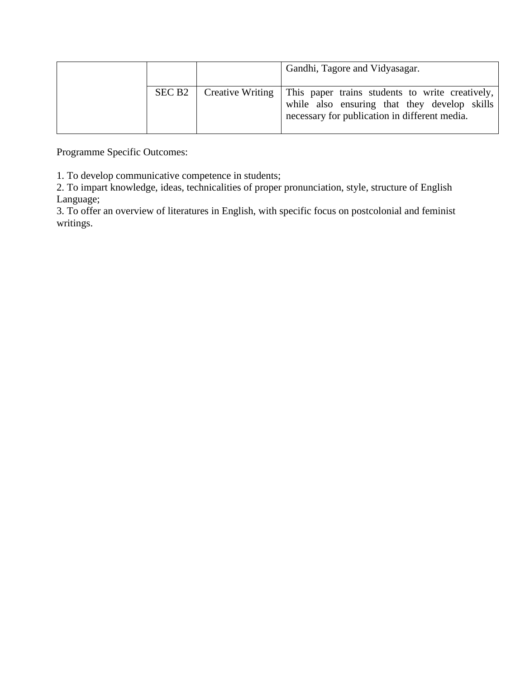|                    | Gandhi, Tagore and Vidyasagar.                                                                                                                                      |
|--------------------|---------------------------------------------------------------------------------------------------------------------------------------------------------------------|
| SEC B <sub>2</sub> | Creative Writing   This paper trains students to write creatively,<br>while also ensuring that they develop skills<br>necessary for publication in different media. |

1. To develop communicative competence in students;

2. To impart knowledge, ideas, technicalities of proper pronunciation, style, structure of English Language;

3. To offer an overview of literatures in English, with specific focus on postcolonial and feminist writings.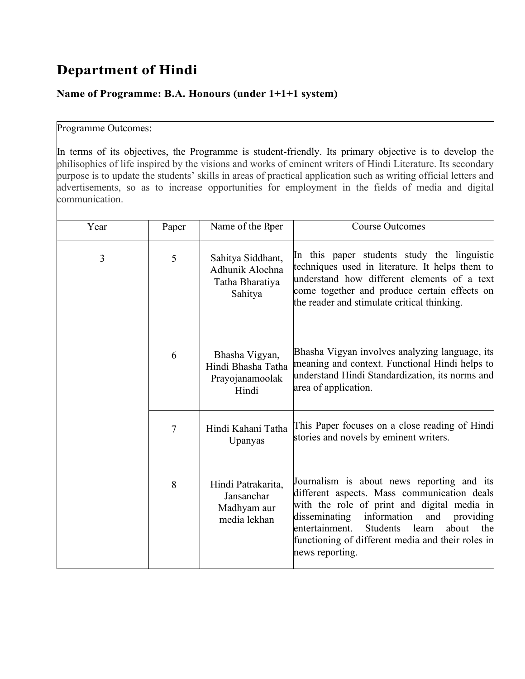## **Department of Hindi**

### **Name of Programme: B.A. Honours (under 1+1+1 system)**

#### Programme Outcomes:

In terms of its objectives, the Programme is student-friendly. Its primary objective is to develop the philisophies of life inspired by the visions and works of eminent writers of Hindi Literature. Its secondary purpose is to update the students' skills in areas of practical application such as writing official letters and advertisements, so as to increase opportunities for employment in the fields of media and digital communication.

| Year | Paper | Name of the Paper                                                  | <b>Course Outcomes</b>                                                                                                                                                                                                                                                                                                      |
|------|-------|--------------------------------------------------------------------|-----------------------------------------------------------------------------------------------------------------------------------------------------------------------------------------------------------------------------------------------------------------------------------------------------------------------------|
| 3    | 5     | Sahitya Siddhant,<br>Adhunik Alochna<br>Tatha Bharatiya<br>Sahitya | In this paper students study the linguistic<br>techniques used in literature. It helps them to<br>understand how different elements of a text<br>come together and produce certain effects on<br>the reader and stimulate critical thinking.                                                                                |
|      | 6     | Bhasha Vigyan,<br>Hindi Bhasha Tatha<br>Prayojanamoolak<br>Hindi   | Bhasha Vigyan involves analyzing language, its<br>meaning and context. Functional Hindi helps to<br>understand Hindi Standardization, its norms and<br>area of application.                                                                                                                                                 |
|      | 7     | Hindi Kahani Tatha<br>Upanyas                                      | This Paper focuses on a close reading of Hindi<br>stories and novels by eminent writers.                                                                                                                                                                                                                                    |
|      | 8     | Hindi Patrakarita,<br>Jansanchar<br>Madhyam aur<br>media lekhan    | Journalism is about news reporting and its<br>different aspects. Mass communication deals<br>with the role of print and digital media in<br>information<br>disseminating<br>and<br>providing<br>Students<br>entertainment.<br>learn<br>about<br>the<br>functioning of different media and their roles in<br>news reporting. |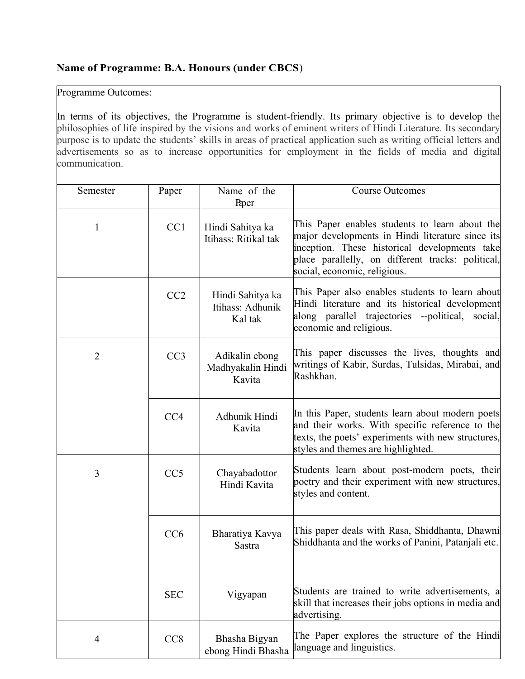### **Name of Programme: B.A. Honours (under CBCS**)

Programme Outcomes:

In terms of its objectives, the Programme is student-friendly. Its primary objective is to develop the philosophies of life inspired by the visions and works of eminent writers of Hindi Literature. Its secondary purpose is to update the students' skills in areas of practical application such as writing official letters and advertisements so as to increase opportunities for employment in the fields of media and digital communication.

| Semester       | Paper           | Name of the<br>Paper                            | <b>Course Outcomes</b>                                                                                                                                                                                                                   |
|----------------|-----------------|-------------------------------------------------|------------------------------------------------------------------------------------------------------------------------------------------------------------------------------------------------------------------------------------------|
| 1              | CC1             | Hindi Sahitya ka<br>Itihass: Ritikal tak        | This Paper enables students to learn about the<br>major developments in Hindi literature since its<br>inception. These historical developments take<br>place parallelly, on different tracks: political,<br>social, economic, religious. |
|                | CC2             | Hindi Sahitya ka<br>Itihass: Adhunik<br>Kal tak | This Paper also enables students to learn about<br>Hindi literature and its historical development<br>along parallel trajectories --political, social,<br>economic and religious.                                                        |
| $\overline{2}$ | CC <sub>3</sub> | Adikalin ebong<br>Madhyakalin Hindi<br>Kavita   | This paper discusses the lives, thoughts and<br>writings of Kabir, Surdas, Tulsidas, Mirabai, and<br>Rashkhan.                                                                                                                           |
|                | CC <sub>4</sub> | Adhunik Hindi<br>Kavita                         | In this Paper, students learn about modern poets<br>and their works. With specific reference to the<br>texts, the poets' experiments with new structures,<br>styles and themes are highlighted.                                          |
| 3              | CC <sub>5</sub> | Chayabadottor<br>Hindi Kavita                   | Students learn about post-modern poets, their<br>poetry and their experiment with new structures,<br>styles and content.                                                                                                                 |
|                | CC6             | Bharatiya Kavya<br>Sastra                       | This paper deals with Rasa, Shiddhanta, Dhawni<br>Shiddhanta and the works of Panini, Patanjali etc.                                                                                                                                     |
|                | <b>SEC</b>      | Vigyapan                                        | Students are trained to write advertisements, a<br>skill that increases their jobs options in media and<br>advertising.                                                                                                                  |
| $\overline{4}$ | CC <sub>8</sub> | Bhasha Bigyan<br>ebong Hindi Bhasha             | The Paper explores the structure of the Hindi<br>language and linguistics.                                                                                                                                                               |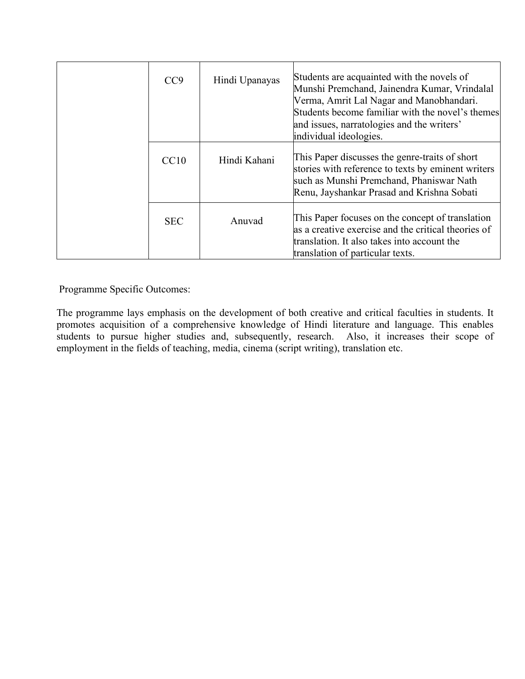| CC <sub>9</sub> | Hindi Upanayas | Students are acquainted with the novels of<br>Munshi Premchand, Jainendra Kumar, Vrindalal<br>Verma, Amrit Lal Nagar and Manobhandari.<br>Students become familiar with the novel's themes<br>and issues, narratologies and the writers'<br>individual ideologies. |
|-----------------|----------------|--------------------------------------------------------------------------------------------------------------------------------------------------------------------------------------------------------------------------------------------------------------------|
| CC10            | Hindi Kahani   | This Paper discusses the genre-traits of short<br>stories with reference to texts by eminent writers<br>such as Munshi Premchand, Phaniswar Nath<br>Renu, Jayshankar Prasad and Krishna Sobati                                                                     |
| <b>SEC</b>      | Anuvad         | This Paper focuses on the concept of translation<br>as a creative exercise and the critical theories of<br>translation. It also takes into account the<br>translation of particular texts.                                                                         |

The programme lays emphasis on the development of both creative and critical faculties in students. It promotes acquisition of a comprehensive knowledge of Hindi literature and language. This enables students to pursue higher studies and, subsequently, research. Also, it increases their scope of employment in the fields of teaching, media, cinema (script writing), translation etc.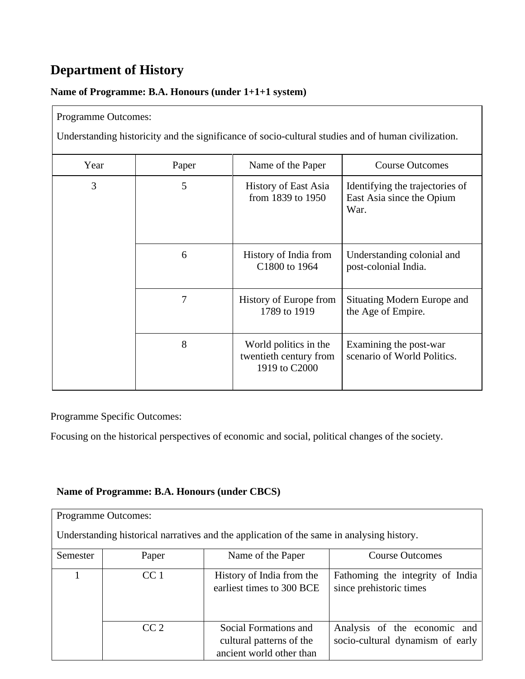## **Department of History**

## **Name of Programme: B.A. Honours (under 1+1+1 system)**

#### Programme Outcomes:

Understanding historicity and the significance of socio-cultural studies and of human civilization.

| Year | Paper | Name of the Paper                                                | <b>Course Outcomes</b>                                               |
|------|-------|------------------------------------------------------------------|----------------------------------------------------------------------|
| 3    | 5     | <b>History of East Asia</b><br>from 1839 to 1950                 | Identifying the trajectories of<br>East Asia since the Opium<br>War. |
|      | 6     | History of India from<br>C1800 to 1964                           | Understanding colonial and<br>post-colonial India.                   |
|      | 7     | History of Europe from<br>1789 to 1919                           | Situating Modern Europe and<br>the Age of Empire.                    |
|      | 8     | World politics in the<br>twentieth century from<br>1919 to C2000 | Examining the post-war<br>scenario of World Politics.                |

## Programme Specific Outcomes:

Focusing on the historical perspectives of economic and social, political changes of the society.

### **Name of Programme: B.A. Honours (under CBCS)**

|          | <b>Programme Outcomes:</b> |                                                                                           |                                                                  |
|----------|----------------------------|-------------------------------------------------------------------------------------------|------------------------------------------------------------------|
|          |                            | Understanding historical narratives and the application of the same in analysing history. |                                                                  |
| Semester | Paper                      | Name of the Paper                                                                         | <b>Course Outcomes</b>                                           |
|          | CC <sub>1</sub>            | History of India from the<br>earliest times to 300 BCE                                    | Fathoming the integrity of India<br>since prehistoric times      |
|          | CC2                        | Social Formations and<br>cultural patterns of the<br>ancient world other than             | Analysis of the economic and<br>socio-cultural dynamism of early |

٦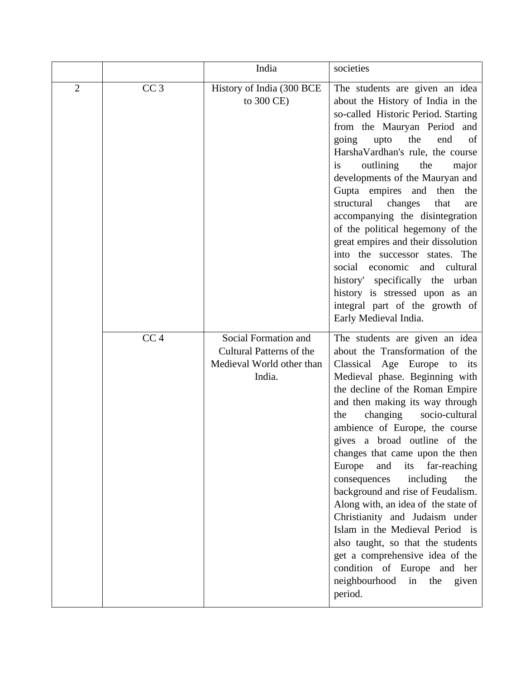|                |                 | India                                                                                          | societies                                                                                                                                                                                                                                                                                                                                                                                                                                                                                                                                                                                                                                                                                                                          |
|----------------|-----------------|------------------------------------------------------------------------------------------------|------------------------------------------------------------------------------------------------------------------------------------------------------------------------------------------------------------------------------------------------------------------------------------------------------------------------------------------------------------------------------------------------------------------------------------------------------------------------------------------------------------------------------------------------------------------------------------------------------------------------------------------------------------------------------------------------------------------------------------|
| $\overline{2}$ | CC <sub>3</sub> | History of India (300 BCE<br>to 300 CE)                                                        | The students are given an idea<br>about the History of India in the<br>so-called Historic Period. Starting<br>from the Mauryan Period and<br>the<br>end<br>going<br>upto<br>of<br>HarshaVardhan's rule, the course<br>the<br>outlining<br><i>is</i><br>major<br>developments of the Mauryan and<br>Gupta empires and<br>then<br>the<br>changes<br>structural<br>that<br>are<br>accompanying the disintegration<br>of the political hegemony of the<br>great empires and their dissolution<br>into the successor states. The<br>economic and cultural<br>social<br>history' specifically the urban<br>history is stressed upon as an<br>integral part of the growth of<br>Early Medieval India.                                     |
|                | CC <sub>4</sub> | Social Formation and<br><b>Cultural Patterns of the</b><br>Medieval World other than<br>India. | The students are given an idea<br>about the Transformation of the<br>Classical Age Europe to its<br>Medieval phase. Beginning with<br>the decline of the Roman Empire<br>and then making its way through<br>changing<br>socio-cultural<br>the<br>ambience of Europe, the course<br>gives a broad outline of the<br>changes that came upon the then<br>and<br>Europe<br>its far-reaching<br>including<br>the<br>consequences<br>background and rise of Feudalism.<br>Along with, an idea of the state of<br>Christianity and Judaism under<br>Islam in the Medieval Period is<br>also taught, so that the students<br>get a comprehensive idea of the<br>condition of Europe and her<br>neighbourhood<br>in the<br>given<br>period. |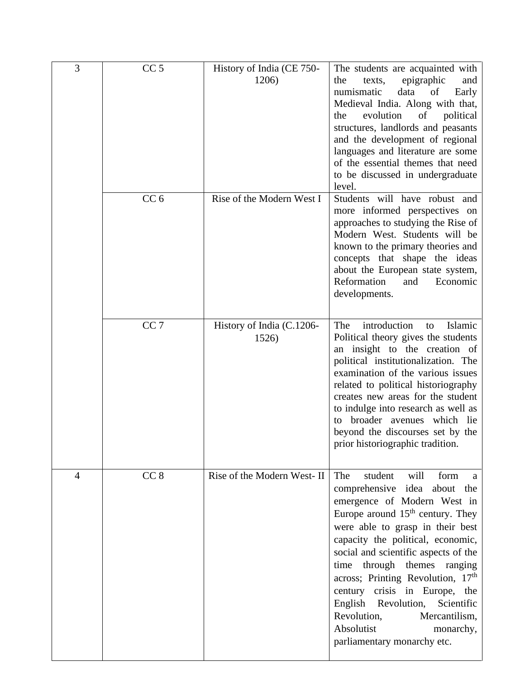| 3 | CC <sub>5</sub> | History of India (CE 750-<br>1206) | The students are acquainted with<br>epigraphic<br>the<br>texts,<br>and<br>numismatic<br>data<br>of<br>Early<br>Medieval India. Along with that,<br>evolution<br>of<br>political<br>the<br>structures, landlords and peasants<br>and the development of regional<br>languages and literature are some<br>of the essential themes that need<br>to be discussed in undergraduate<br>level.                                                                                                                          |
|---|-----------------|------------------------------------|------------------------------------------------------------------------------------------------------------------------------------------------------------------------------------------------------------------------------------------------------------------------------------------------------------------------------------------------------------------------------------------------------------------------------------------------------------------------------------------------------------------|
|   | CC <sub>6</sub> | Rise of the Modern West I          | Students will have robust and<br>more informed perspectives on<br>approaches to studying the Rise of<br>Modern West. Students will be<br>known to the primary theories and<br>concepts that shape the ideas<br>about the European state system,<br>Reformation<br>Economic<br>and<br>developments.                                                                                                                                                                                                               |
|   | CC <sub>7</sub> | History of India (C.1206-<br>1526) | introduction<br>Islamic<br>The<br>to<br>Political theory gives the students<br>an insight to the creation of<br>political institutionalization. The<br>examination of the various issues<br>related to political historiography<br>creates new areas for the student<br>to indulge into research as well as<br>broader avenues which lie<br>to<br>beyond the discourses set by the<br>prior historiographic tradition.                                                                                           |
| 4 | CC <sub>8</sub> | Rise of the Modern West- II        | The<br>student<br>will<br>form<br>a<br>comprehensive idea<br>about the<br>emergence of Modern West in<br>Europe around 15 <sup>th</sup> century. They<br>were able to grasp in their best<br>capacity the political, economic,<br>social and scientific aspects of the<br>through themes<br>time<br>ranging<br>across; Printing Revolution, 17th<br>century crisis in Europe, the<br>English Revolution,<br>Scientific<br>Revolution,<br>Mercantilism,<br>Absolutist<br>monarchy,<br>parliamentary monarchy etc. |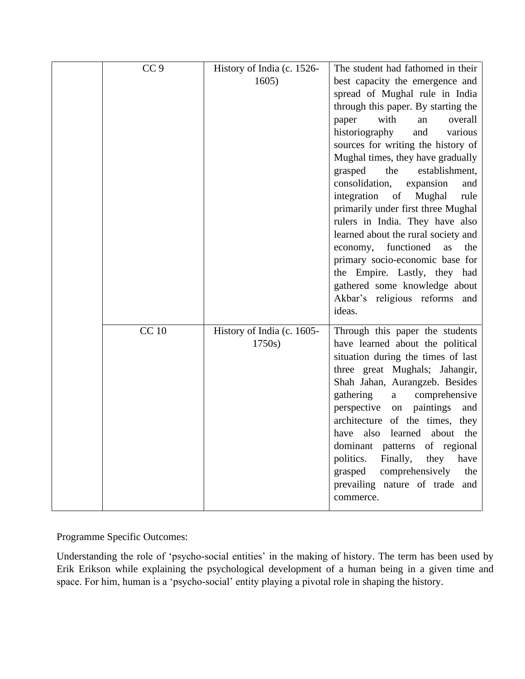| CC <sub>9</sub> | History of India (c. 1526-           | The student had fathomed in their                                                                                                                                                                                                                                                                                                                                                                                                                                                                           |
|-----------------|--------------------------------------|-------------------------------------------------------------------------------------------------------------------------------------------------------------------------------------------------------------------------------------------------------------------------------------------------------------------------------------------------------------------------------------------------------------------------------------------------------------------------------------------------------------|
|                 | 1605)                                | best capacity the emergence and<br>spread of Mughal rule in India<br>through this paper. By starting the<br>with<br>overall<br>paper<br>an<br>historiography<br>and<br>various<br>sources for writing the history of                                                                                                                                                                                                                                                                                        |
|                 |                                      | Mughal times, they have gradually<br>the<br>establishment,<br>grasped<br>consolidation,<br>expansion<br>and<br>integration<br>of<br>Mughal<br>rule                                                                                                                                                                                                                                                                                                                                                          |
|                 |                                      | primarily under first three Mughal<br>rulers in India. They have also<br>learned about the rural society and<br>functioned<br>economy,<br>as<br>the<br>primary socio-economic base for<br>the Empire. Lastly, they had<br>gathered some knowledge about<br>Akbar's religious reforms and<br>ideas.                                                                                                                                                                                                          |
| <b>CC</b> 10    | History of India (c. 1605-<br>1750s) | Through this paper the students<br>have learned about the political<br>situation during the times of last<br>three great Mughals; Jahangir,<br>Shah Jahan, Aurangzeb. Besides<br>gathering<br>comprehensive<br>a<br>perspective<br>paintings<br>on<br>and<br>architecture of the times, they<br>also<br>learned<br>about<br>the<br>have<br>dominant patterns<br>of regional<br>politics.<br>Finally,<br>they<br>have<br>comprehensively<br>grasped<br>the<br>prevailing nature of trade<br>and<br>commerce. |

Understanding the role of 'psycho-social entities' in the making of history. The term has been used by Erik Erikson while explaining the psychological development of a human being in a given time and space. For him, human is a 'psycho-social' entity playing a pivotal role in shaping the history.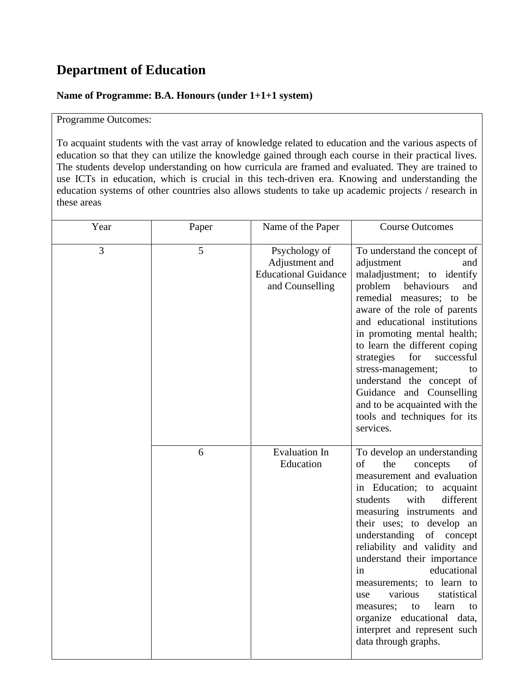## **Department of Education**

#### **Name of Programme: B.A. Honours (under 1+1+1 system)**

### Programme Outcomes:

To acquaint students with the vast array of knowledge related to education and the various aspects of education so that they can utilize the knowledge gained through each course in their practical lives. The students develop understanding on how curricula are framed and evaluated. They are trained to use ICTs in education, which is crucial in this tech-driven era. Knowing and understanding the education systems of other countries also allows students to take up academic projects / research in these areas

| Year | Paper | Name of the Paper                                                                 | <b>Course Outcomes</b>                                                                                                                                                                                                                                                                                                                                                                                                                                                                                                 |
|------|-------|-----------------------------------------------------------------------------------|------------------------------------------------------------------------------------------------------------------------------------------------------------------------------------------------------------------------------------------------------------------------------------------------------------------------------------------------------------------------------------------------------------------------------------------------------------------------------------------------------------------------|
| 3    | 5     | Psychology of<br>Adjustment and<br><b>Educational Guidance</b><br>and Counselling | To understand the concept of<br>adjustment<br>and<br>maladjustment; to identify<br>problem<br>behaviours<br>and<br>remedial measures; to be<br>aware of the role of parents<br>and educational institutions<br>in promoting mental health;<br>to learn the different coping<br>for<br>successful<br>strategies<br>stress-management;<br>to<br>understand the concept of<br>Guidance and Counselling<br>and to be acquainted with the<br>tools and techniques for its<br>services.                                      |
|      | 6     | <b>Evaluation In</b><br>Education                                                 | To develop an understanding<br>of<br>the<br>concepts<br>of<br>measurement and evaluation<br>in Education; to acquaint<br>students<br>with<br>different<br>measuring instruments and<br>their uses; to develop an<br>understanding of concept<br>reliability and validity and<br>understand their importance<br>educational<br>in<br>measurements; to learn to<br>various<br>statistical<br>use<br>learn<br>to<br>measures;<br>to<br>organize educational data,<br>interpret and represent such<br>data through graphs. |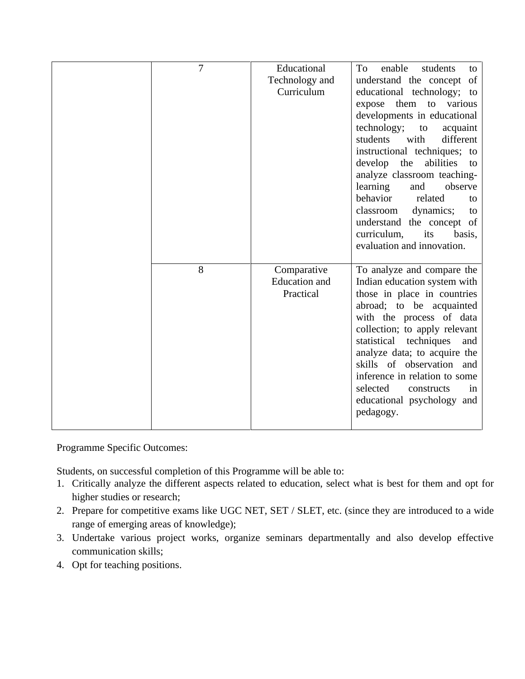| 7 | Educational          | enable<br>To<br>students<br>to   |
|---|----------------------|----------------------------------|
|   | Technology and       | understand the concept of        |
|   | Curriculum           | educational technology; to       |
|   |                      | expose them to various           |
|   |                      | developments in educational      |
|   |                      | technology;<br>to<br>acquaint    |
|   |                      | with<br>different<br>students    |
|   |                      | instructional techniques; to     |
|   |                      | develop the<br>abilities<br>to   |
|   |                      | analyze classroom teaching-      |
|   |                      | learning<br>and<br>observe       |
|   |                      | behavior<br>related<br>to        |
|   |                      | classroom<br>dynamics;<br>to     |
|   |                      | understand the concept of        |
|   |                      | curriculum,<br>its<br>basis,     |
|   |                      | evaluation and innovation.       |
| 8 | Comparative          | To analyze and compare the       |
|   | <b>Education</b> and | Indian education system with     |
|   | Practical            | those in place in countries      |
|   |                      | abroad; to be acquainted         |
|   |                      | with the process of data         |
|   |                      | collection; to apply relevant    |
|   |                      | statistical<br>techniques<br>and |
|   |                      | analyze data; to acquire the     |
|   |                      | skills of observation and        |
|   |                      | inference in relation to some    |
|   |                      | selected<br>constructs<br>in     |
|   |                      | educational psychology and       |
|   |                      | pedagogy.                        |
|   |                      |                                  |

Students, on successful completion of this Programme will be able to:

- 1. Critically analyze the different aspects related to education, select what is best for them and opt for higher studies or research;
- 2. Prepare for competitive exams like UGC NET, SET / SLET, etc. (since they are introduced to a wide range of emerging areas of knowledge);
- 3. Undertake various project works, organize seminars departmentally and also develop effective communication skills;
- 4. Opt for teaching positions.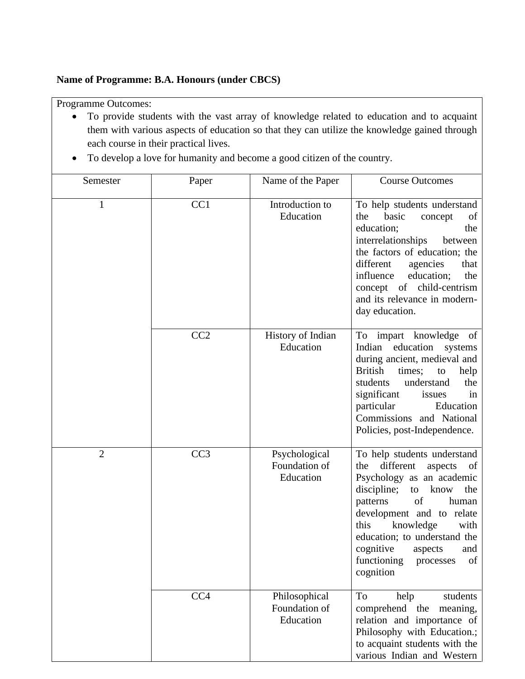#### **Name of Programme: B.A. Honours (under CBCS)**

Programme Outcomes:

- To provide students with the vast array of knowledge related to education and to acquaint them with various aspects of education so that they can utilize the knowledge gained through each course in their practical lives.
- To develop a love for humanity and become a good citizen of the country.

| Semester       | Paper | Name of the Paper                           | <b>Course Outcomes</b>                                                                                                                                                                                                                                                                                                               |
|----------------|-------|---------------------------------------------|--------------------------------------------------------------------------------------------------------------------------------------------------------------------------------------------------------------------------------------------------------------------------------------------------------------------------------------|
| 1              | CC1   | Introduction to<br>Education                | To help students understand<br>the<br>basic<br>concept<br>of<br>education;<br>the<br>interrelationships<br>between<br>the factors of education; the<br>different<br>agencies<br>that<br>influence<br>education;<br>the<br>concept of child-centrism<br>and its relevance in modern-<br>day education.                                |
|                | CC2   | History of Indian<br>Education              | To impart knowledge of<br>education<br>Indian<br>systems<br>during ancient, medieval and<br><b>British</b><br>times;<br>to<br>help<br>students<br>understand<br>the<br>significant<br>issues<br>in<br>particular<br>Education<br>Commissions and National<br>Policies, post-Independence.                                            |
| $\overline{2}$ | CC3   | Psychological<br>Foundation of<br>Education | To help students understand<br>different<br>aspects<br>the<br>of<br>Psychology as an academic<br>discipline;<br>know<br>the<br>to<br>of<br>patterns<br>human<br>development and to relate<br>knowledge<br>this<br>with<br>education; to understand the<br>cognitive<br>aspects<br>and<br>functioning<br>processes<br>of<br>cognition |
|                | CC4   | Philosophical<br>Foundation of<br>Education | To<br>help<br>students<br>comprehend the<br>meaning,<br>relation and importance of<br>Philosophy with Education.;<br>to acquaint students with the<br>various Indian and Western                                                                                                                                                     |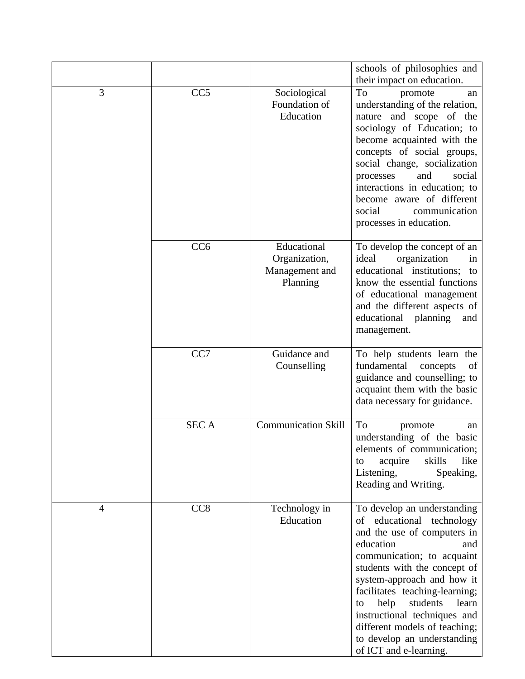|   |                 |                                                            | schools of philosophies and<br>their impact on education.                                                                                                                                                                                                                                                                                                                                              |
|---|-----------------|------------------------------------------------------------|--------------------------------------------------------------------------------------------------------------------------------------------------------------------------------------------------------------------------------------------------------------------------------------------------------------------------------------------------------------------------------------------------------|
| 3 | CC <sub>5</sub> | Sociological<br>Foundation of<br>Education                 | To<br>promote<br>an<br>understanding of the relation,<br>nature and scope of the<br>sociology of Education; to<br>become acquainted with the<br>concepts of social groups,<br>social change, socialization<br>and<br>social<br>processes<br>interactions in education; to<br>become aware of different<br>social<br>communication<br>processes in education.                                           |
|   | CC <sub>6</sub> | Educational<br>Organization,<br>Management and<br>Planning | To develop the concept of an<br>ideal<br>organization<br>in<br>educational institutions;<br>to<br>know the essential functions<br>of educational management<br>and the different aspects of<br>educational<br>planning<br>and<br>management.                                                                                                                                                           |
|   | CC7             | Guidance and<br>Counselling                                | To help students learn the<br>fundamental<br>concepts<br>of<br>guidance and counselling; to<br>acquaint them with the basic<br>data necessary for guidance.                                                                                                                                                                                                                                            |
|   | <b>SECA</b>     | <b>Communication Skill</b>                                 | To<br>promote<br>an<br>understanding of the basic<br>elements of communication;<br>skills<br>like<br>acquire<br>to<br>Listening,<br>Speaking,<br>Reading and Writing.                                                                                                                                                                                                                                  |
| 4 | CC <sub>8</sub> | Technology in<br>Education                                 | To develop an understanding<br>of educational technology<br>and the use of computers in<br>education<br>and<br>communication; to acquaint<br>students with the concept of<br>system-approach and how it<br>facilitates teaching-learning;<br>help<br>students<br>learn<br>to<br>instructional techniques and<br>different models of teaching;<br>to develop an understanding<br>of ICT and e-learning. |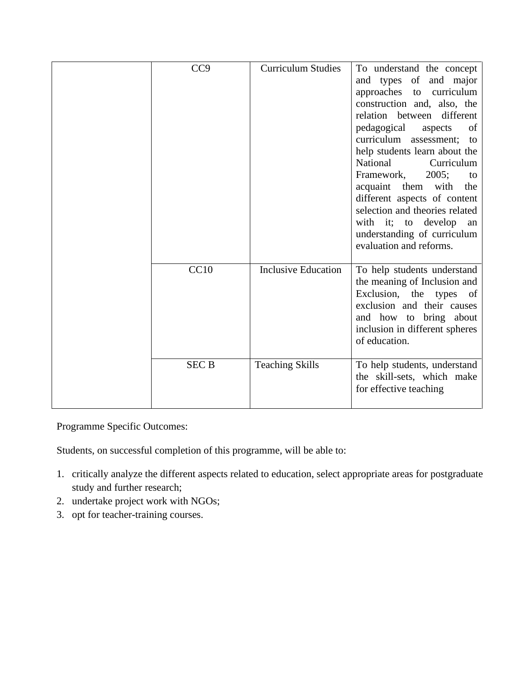| CC <sub>9</sub> | <b>Curriculum Studies</b>  | To understand the concept<br>and types of and major<br>approaches to<br>curriculum<br>construction and, also, the<br>relation between<br>different<br>pedagogical<br>of<br>aspects<br>curriculum assessment;<br>to<br>help students learn about the<br><b>National</b><br>Curriculum<br>Framework,<br>2005;<br>to<br>acquaint them<br>with<br>the<br>different aspects of content<br>selection and theories related<br>with it; to develop<br>an<br>understanding of curriculum<br>evaluation and reforms. |
|-----------------|----------------------------|------------------------------------------------------------------------------------------------------------------------------------------------------------------------------------------------------------------------------------------------------------------------------------------------------------------------------------------------------------------------------------------------------------------------------------------------------------------------------------------------------------|
| CC10            | <b>Inclusive Education</b> | To help students understand<br>the meaning of Inclusion and<br>Exclusion,<br>the<br>types<br><sub>of</sub><br>exclusion and their causes<br>and how to bring about<br>inclusion in different spheres<br>of education.                                                                                                                                                                                                                                                                                      |
| <b>SEC B</b>    | <b>Teaching Skills</b>     | To help students, understand<br>the skill-sets, which make<br>for effective teaching                                                                                                                                                                                                                                                                                                                                                                                                                       |

Students, on successful completion of this programme, will be able to:

- 1. critically analyze the different aspects related to education, select appropriate areas for postgraduate study and further research;
- 2. undertake project work with NGOs;
- 3. opt for teacher-training courses.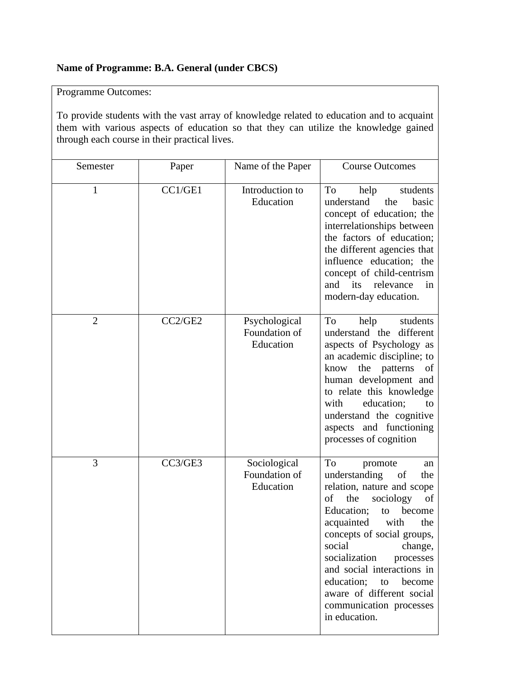## **Name of Programme: B.A. General (under CBCS)**

Programme Outcomes:

To provide students with the vast array of knowledge related to education and to acquaint them with various aspects of education so that they can utilize the knowledge gained through each course in their practical lives.

| Semester       | Paper   | Name of the Paper                           | <b>Course Outcomes</b>                                                                                                                                                                                                                                                                                                                                                                           |
|----------------|---------|---------------------------------------------|--------------------------------------------------------------------------------------------------------------------------------------------------------------------------------------------------------------------------------------------------------------------------------------------------------------------------------------------------------------------------------------------------|
| $\mathbf{1}$   | CC1/GE1 | Introduction to<br>Education                | To<br>students<br>help<br>understand<br>the<br>basic<br>concept of education; the<br>interrelationships between<br>the factors of education;<br>the different agencies that<br>influence education; the<br>concept of child-centrism<br>relevance<br>and its<br>in<br>modern-day education.                                                                                                      |
| $\overline{2}$ | CC2/GE2 | Psychological<br>Foundation of<br>Education | To<br>help<br>students<br>understand the different<br>aspects of Psychology as<br>an academic discipline; to<br>the patterns<br>know<br>of<br>human development and<br>to relate this knowledge<br>education;<br>with<br>to<br>understand the cognitive<br>aspects and functioning<br>processes of cognition                                                                                     |
| 3              | CC3/GE3 | Sociological<br>Foundation of<br>Education  | To<br>promote<br>an<br>understanding<br>of<br>the<br>relation, nature and scope<br>of<br>the<br>sociology<br>of<br>Education;<br>become<br>to<br>acquainted<br>with<br>the<br>concepts of social groups,<br>social<br>change,<br>socialization<br>processes<br>and social interactions in<br>education;<br>become<br>to<br>aware of different social<br>communication processes<br>in education. |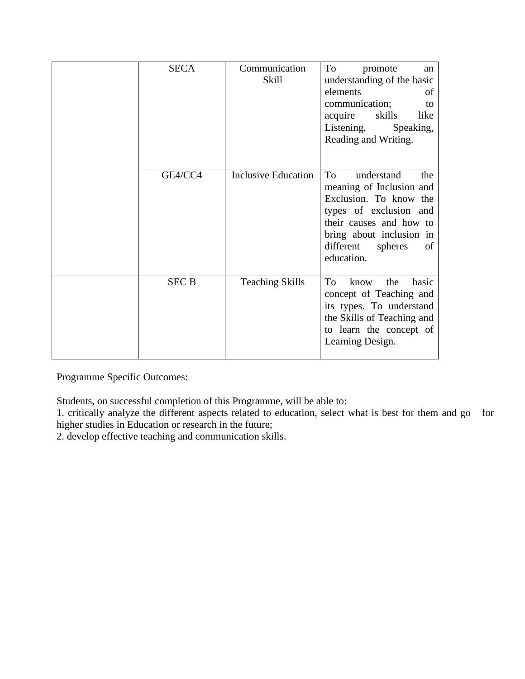| <b>SECA</b>  | Communication<br>Skill     | To<br>promote<br>an<br>understanding of the basic<br>elements<br>of<br>communication;<br>to<br>acquire<br>skills<br>like<br>Listening,<br>Speaking,<br>Reading and Writing.                                |
|--------------|----------------------------|------------------------------------------------------------------------------------------------------------------------------------------------------------------------------------------------------------|
| GE4/CC4      | <b>Inclusive Education</b> | To<br>understand<br>the<br>meaning of Inclusion and<br>Exclusion. To know the<br>types of exclusion and<br>their causes and how to<br>bring about inclusion in<br>different<br>spheres<br>of<br>education. |
| <b>SEC B</b> | <b>Teaching Skills</b>     | To<br>the<br>basic<br>know<br>concept of Teaching and<br>its types. To understand<br>the Skills of Teaching and<br>to learn the concept of<br>Learning Design.                                             |

Students, on successful completion of this Programme, will be able to:

1. critically analyze the different aspects related to education, select what is best for them and go for higher studies in Education or research in the future;

2. develop effective teaching and communication skills.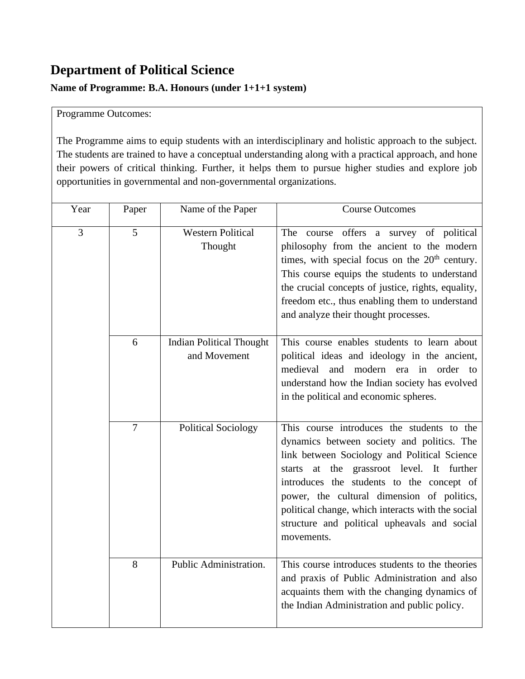## **Department of Political Science**

### **Name of Programme: B.A. Honours (under 1+1+1 system)**

#### Programme Outcomes:

The Programme aims to equip students with an interdisciplinary and holistic approach to the subject. The students are trained to have a conceptual understanding along with a practical approach, and hone their powers of critical thinking. Further, it helps them to pursue higher studies and explore job opportunities in governmental and non-governmental organizations.

| Year | Paper          | Name of the Paper                               | <b>Course Outcomes</b>                                                                                                                                                                                                                                                                                                                                                                              |
|------|----------------|-------------------------------------------------|-----------------------------------------------------------------------------------------------------------------------------------------------------------------------------------------------------------------------------------------------------------------------------------------------------------------------------------------------------------------------------------------------------|
| 3    | 5              | <b>Western Political</b><br>Thought             | The course offers a survey of political<br>philosophy from the ancient to the modern<br>times, with special focus on the 20 <sup>th</sup> century.<br>This course equips the students to understand<br>the crucial concepts of justice, rights, equality,<br>freedom etc., thus enabling them to understand<br>and analyze their thought processes.                                                 |
|      | 6              | <b>Indian Political Thought</b><br>and Movement | This course enables students to learn about<br>political ideas and ideology in the ancient,<br>medieval<br>and<br>modern era in order to<br>understand how the Indian society has evolved<br>in the political and economic spheres.                                                                                                                                                                 |
|      | $\overline{7}$ | <b>Political Sociology</b>                      | This course introduces the students to the<br>dynamics between society and politics. The<br>link between Sociology and Political Science<br>starts at the grassroot level. It further<br>introduces the students to the concept of<br>power, the cultural dimension of politics,<br>political change, which interacts with the social<br>structure and political upheavals and social<br>movements. |
|      | 8              | Public Administration.                          | This course introduces students to the theories<br>and praxis of Public Administration and also<br>acquaints them with the changing dynamics of<br>the Indian Administration and public policy.                                                                                                                                                                                                     |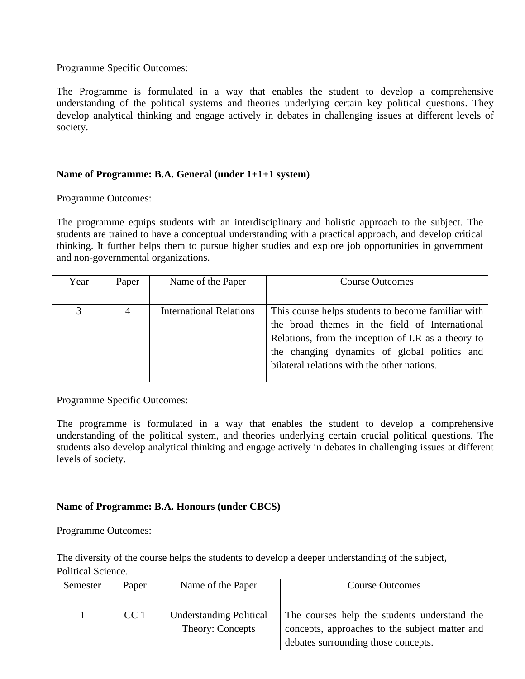The Programme is formulated in a way that enables the student to develop a comprehensive understanding of the political systems and theories underlying certain key political questions. They develop analytical thinking and engage actively in debates in challenging issues at different levels of society.

#### **Name of Programme: B.A. General (under 1+1+1 system)**

Programme Outcomes:

The programme equips students with an interdisciplinary and holistic approach to the subject. The students are trained to have a conceptual understanding with a practical approach, and develop critical thinking. It further helps them to pursue higher studies and explore job opportunities in government and non-governmental organizations.

| Year | Paper          | Name of the Paper              | <b>Course Outcomes</b>                                                                                                                                                                                                                                     |
|------|----------------|--------------------------------|------------------------------------------------------------------------------------------------------------------------------------------------------------------------------------------------------------------------------------------------------------|
|      |                |                                |                                                                                                                                                                                                                                                            |
| 3    | $\overline{4}$ | <b>International Relations</b> | This course helps students to become familiar with<br>the broad themes in the field of International<br>Relations, from the inception of I.R as a theory to<br>the changing dynamics of global politics and<br>bilateral relations with the other nations. |
|      |                |                                |                                                                                                                                                                                                                                                            |

Programme Specific Outcomes:

The programme is formulated in a way that enables the student to develop a comprehensive understanding of the political system, and theories underlying certain crucial political questions. The students also develop analytical thinking and engage actively in debates in challenging issues at different levels of society.

#### **Name of Programme: B.A. Honours (under CBCS)**

| <b>Programme Outcomes:</b> |                 |                                |                                                                                                  |
|----------------------------|-----------------|--------------------------------|--------------------------------------------------------------------------------------------------|
|                            |                 |                                | The diversity of the course helps the students to develop a deeper understanding of the subject, |
| Political Science.         |                 |                                |                                                                                                  |
| Semester                   | Paper           | Name of the Paper              | <b>Course Outcomes</b>                                                                           |
|                            |                 |                                |                                                                                                  |
|                            | CC <sub>1</sub> | <b>Understanding Political</b> | The courses help the students understand the                                                     |
|                            |                 | Theory: Concepts               | concepts, approaches to the subject matter and                                                   |
|                            |                 |                                | debates surrounding those concepts.                                                              |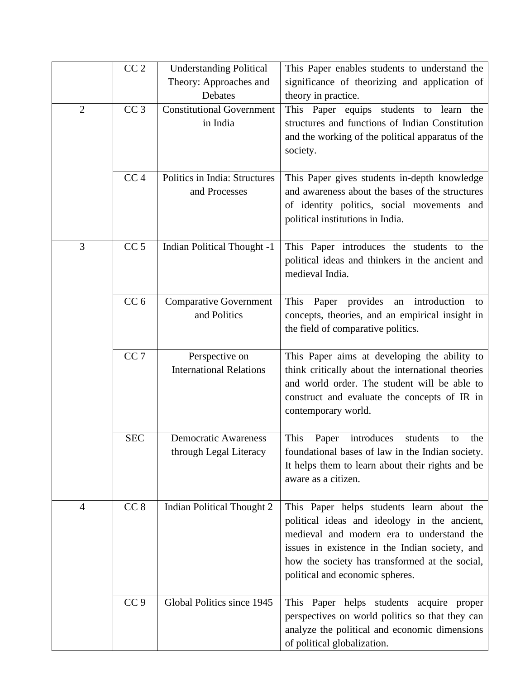|                | CC <sub>2</sub> | <b>Understanding Political</b>                        | This Paper enables students to understand the                                                                                                                                                                                                                                 |
|----------------|-----------------|-------------------------------------------------------|-------------------------------------------------------------------------------------------------------------------------------------------------------------------------------------------------------------------------------------------------------------------------------|
|                |                 | Theory: Approaches and                                | significance of theorizing and application of                                                                                                                                                                                                                                 |
|                |                 | Debates                                               | theory in practice.                                                                                                                                                                                                                                                           |
| $\overline{2}$ | CC <sub>3</sub> | <b>Constitutional Government</b><br>in India          | This Paper equips students to learn the<br>structures and functions of Indian Constitution<br>and the working of the political apparatus of the<br>society.                                                                                                                   |
|                | CC <sub>4</sub> | Politics in India: Structures                         | This Paper gives students in-depth knowledge                                                                                                                                                                                                                                  |
|                |                 | and Processes                                         | and awareness about the bases of the structures<br>of identity politics, social movements and<br>political institutions in India.                                                                                                                                             |
| 3              | CC <sub>5</sub> | <b>Indian Political Thought -1</b>                    | This Paper introduces the students to the<br>political ideas and thinkers in the ancient and<br>medieval India.                                                                                                                                                               |
|                | CC <sub>6</sub> | <b>Comparative Government</b><br>and Politics         | This<br>provides<br>Paper<br>introduction<br>an<br>to<br>concepts, theories, and an empirical insight in<br>the field of comparative politics.                                                                                                                                |
|                | CC <sub>7</sub> | Perspective on<br><b>International Relations</b>      | This Paper aims at developing the ability to<br>think critically about the international theories<br>and world order. The student will be able to<br>construct and evaluate the concepts of IR in<br>contemporary world.                                                      |
|                | <b>SEC</b>      | <b>Democratic Awareness</b><br>through Legal Literacy | This<br>introduces<br>students<br>Paper<br>the<br>to<br>foundational bases of law in the Indian society.<br>It helps them to learn about their rights and be<br>aware as a citizen.                                                                                           |
| $\overline{4}$ | CC <sub>8</sub> | <b>Indian Political Thought 2</b>                     | This Paper helps students learn about the<br>political ideas and ideology in the ancient,<br>medieval and modern era to understand the<br>issues in existence in the Indian society, and<br>how the society has transformed at the social,<br>political and economic spheres. |
|                | CC <sub>9</sub> | Global Politics since 1945                            | This Paper helps students acquire proper<br>perspectives on world politics so that they can<br>analyze the political and economic dimensions<br>of political globalization.                                                                                                   |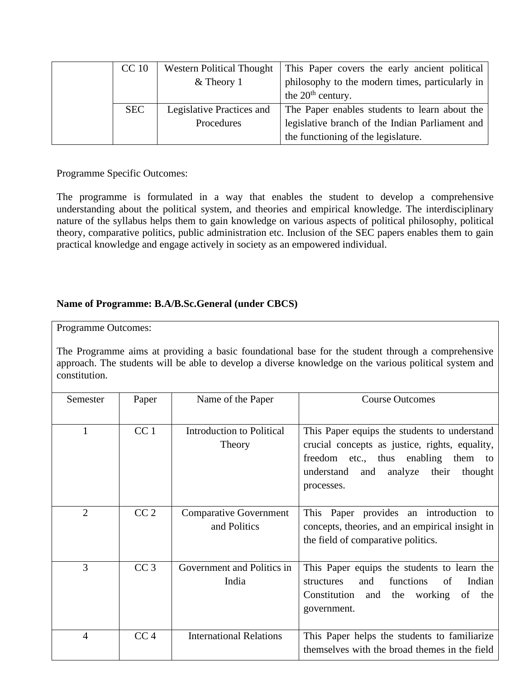| <b>CC</b> 10 | <b>Western Political Thought</b> | This Paper covers the early ancient political   |
|--------------|----------------------------------|-------------------------------------------------|
|              | $&$ Theory 1                     | philosophy to the modern times, particularly in |
|              |                                  | the $20th$ century.                             |
| <b>SEC</b>   | Legislative Practices and        | The Paper enables students to learn about the   |
|              | Procedures                       | legislative branch of the Indian Parliament and |
|              |                                  | the functioning of the legislature.             |

The programme is formulated in a way that enables the student to develop a comprehensive understanding about the political system, and theories and empirical knowledge. The interdisciplinary nature of the syllabus helps them to gain knowledge on various aspects of political philosophy, political theory, comparative politics, public administration etc. Inclusion of the SEC papers enables them to gain practical knowledge and engage actively in society as an empowered individual.

### **Name of Programme: B.A/B.Sc.General (under CBCS)**

Programme Outcomes:

The Programme aims at providing a basic foundational base for the student through a comprehensive approach. The students will be able to develop a diverse knowledge on the various political system and constitution.

| Semester       | Paper           | Name of the Paper                             | <b>Course Outcomes</b>                                                                                                                                                                                  |
|----------------|-----------------|-----------------------------------------------|---------------------------------------------------------------------------------------------------------------------------------------------------------------------------------------------------------|
|                | CC <sub>1</sub> | <b>Introduction to Political</b><br>Theory    | This Paper equips the students to understand<br>crucial concepts as justice, rights, equality,<br>freedom etc., thus enabling them to<br>analyze<br>their<br>thought<br>understand<br>and<br>processes. |
| $\overline{2}$ | CC <sub>2</sub> | <b>Comparative Government</b><br>and Politics | This Paper provides an introduction to<br>concepts, theories, and an empirical insight in<br>the field of comparative politics.                                                                         |
| 3              | CC <sub>3</sub> | Government and Politics in<br>India           | This Paper equips the students to learn the<br>functions<br>Indian<br>structures<br>and<br>of<br>Constitution and<br>working<br>the<br>of<br>the<br>government.                                         |
| 4              | CC <sub>4</sub> | <b>International Relations</b>                | This Paper helps the students to familiarize<br>themselves with the broad themes in the field                                                                                                           |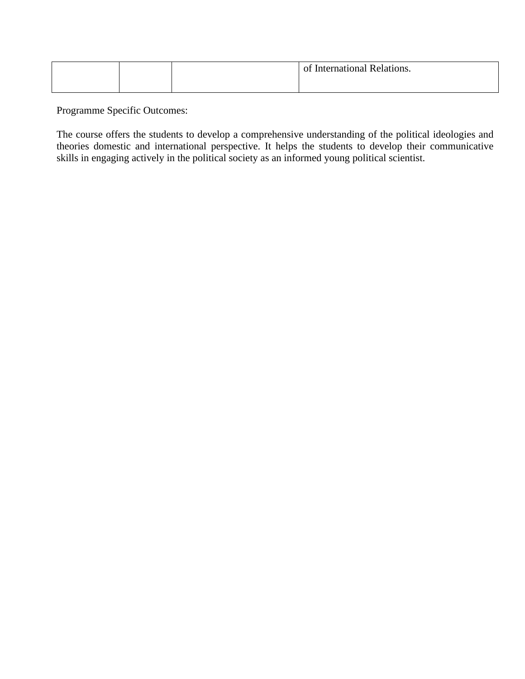|  | $-$ of $\overline{ }$<br>International Relations. |
|--|---------------------------------------------------|
|  |                                                   |

The course offers the students to develop a comprehensive understanding of the political ideologies and theories domestic and international perspective. It helps the students to develop their communicative skills in engaging actively in the political society as an informed young political scientist.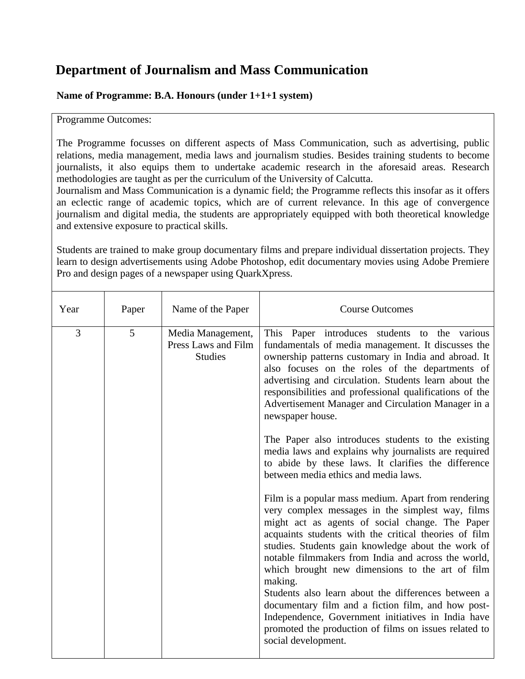## **Department of Journalism and Mass Communication**

### **Name of Programme: B.A. Honours (under 1+1+1 system)**

Programme Outcomes:

The Programme focusses on different aspects of Mass Communication, such as advertising, public relations, media management, media laws and journalism studies. Besides training students to become journalists, it also equips them to undertake academic research in the aforesaid areas. Research methodologies are taught as per the curriculum of the University of Calcutta.

Journalism and Mass Communication is a dynamic field; the Programme reflects this insofar as it offers an eclectic range of academic topics, which are of current relevance. In this age of convergence journalism and digital media, the students are appropriately equipped with both theoretical knowledge and extensive exposure to practical skills.

Students are trained to make group documentary films and prepare individual dissertation projects. They learn to design advertisements using Adobe Photoshop, edit documentary movies using Adobe Premiere Pro and design pages of a newspaper using QuarkXpress.

| Year | Paper | Name of the Paper                                          | <b>Course Outcomes</b>                                                                                                                                                                                                                                                                                                                                                                                                                                                                                                                                                                                                                            |
|------|-------|------------------------------------------------------------|---------------------------------------------------------------------------------------------------------------------------------------------------------------------------------------------------------------------------------------------------------------------------------------------------------------------------------------------------------------------------------------------------------------------------------------------------------------------------------------------------------------------------------------------------------------------------------------------------------------------------------------------------|
| 3    | 5     | Media Management,<br>Press Laws and Film<br><b>Studies</b> | This Paper introduces students to the various<br>fundamentals of media management. It discusses the<br>ownership patterns customary in India and abroad. It<br>also focuses on the roles of the departments of<br>advertising and circulation. Students learn about the<br>responsibilities and professional qualifications of the<br>Advertisement Manager and Circulation Manager in a<br>newspaper house.                                                                                                                                                                                                                                      |
|      |       |                                                            | The Paper also introduces students to the existing<br>media laws and explains why journalists are required<br>to abide by these laws. It clarifies the difference<br>between media ethics and media laws.                                                                                                                                                                                                                                                                                                                                                                                                                                         |
|      |       |                                                            | Film is a popular mass medium. Apart from rendering<br>very complex messages in the simplest way, films<br>might act as agents of social change. The Paper<br>acquaints students with the critical theories of film<br>studies. Students gain knowledge about the work of<br>notable filmmakers from India and across the world,<br>which brought new dimensions to the art of film<br>making.<br>Students also learn about the differences between a<br>documentary film and a fiction film, and how post-<br>Independence, Government initiatives in India have<br>promoted the production of films on issues related to<br>social development. |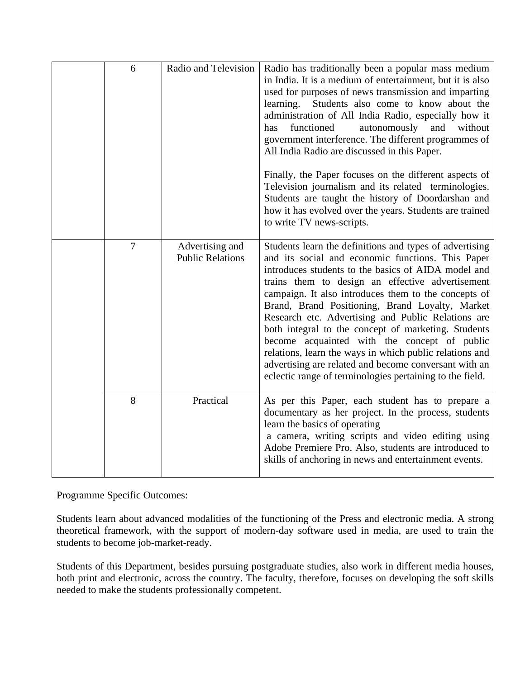| 6      | Radio and Television                       | Radio has traditionally been a popular mass medium<br>in India. It is a medium of entertainment, but it is also<br>used for purposes of news transmission and imparting<br>Students also come to know about the<br>learning.<br>administration of All India Radio, especially how it<br>functioned<br>and<br>without<br>has<br>autonomously<br>government interference. The different programmes of<br>All India Radio are discussed in this Paper.<br>Finally, the Paper focuses on the different aspects of<br>Television journalism and its related terminologies.<br>Students are taught the history of Doordarshan and<br>how it has evolved over the years. Students are trained<br>to write TV news-scripts. |
|--------|--------------------------------------------|---------------------------------------------------------------------------------------------------------------------------------------------------------------------------------------------------------------------------------------------------------------------------------------------------------------------------------------------------------------------------------------------------------------------------------------------------------------------------------------------------------------------------------------------------------------------------------------------------------------------------------------------------------------------------------------------------------------------|
| $\tau$ | Advertising and<br><b>Public Relations</b> | Students learn the definitions and types of advertising<br>and its social and economic functions. This Paper<br>introduces students to the basics of AIDA model and<br>trains them to design an effective advertisement<br>campaign. It also introduces them to the concepts of<br>Brand, Brand Positioning, Brand Loyalty, Market<br>Research etc. Advertising and Public Relations are<br>both integral to the concept of marketing. Students<br>become acquainted with the concept of public<br>relations, learn the ways in which public relations and<br>advertising are related and become conversant with an<br>eclectic range of terminologies pertaining to the field.                                     |
| 8      | Practical                                  | As per this Paper, each student has to prepare a<br>documentary as her project. In the process, students<br>learn the basics of operating<br>a camera, writing scripts and video editing using<br>Adobe Premiere Pro. Also, students are introduced to<br>skills of anchoring in news and entertainment events.                                                                                                                                                                                                                                                                                                                                                                                                     |

Students learn about advanced modalities of the functioning of the Press and electronic media. A strong theoretical framework, with the support of modern-day software used in media, are used to train the students to become job-market-ready.

Students of this Department, besides pursuing postgraduate studies, also work in different media houses, both print and electronic, across the country. The faculty, therefore, focuses on developing the soft skills needed to make the students professionally competent.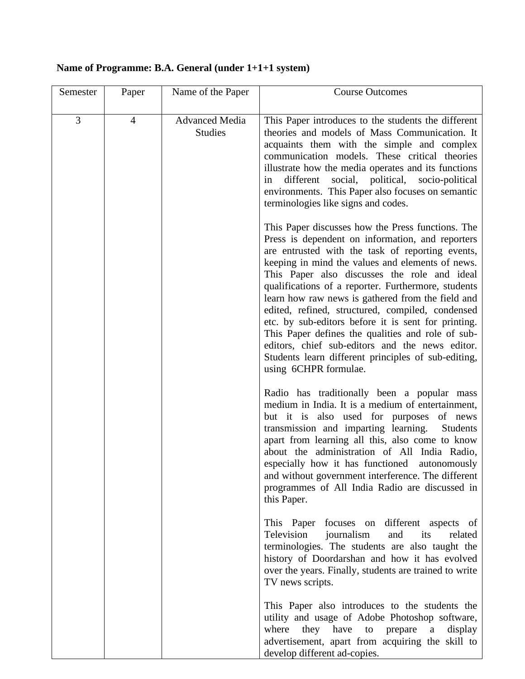## **Name of Programme: B.A. General (under 1+1+1 system)**

| Semester | Paper          | Name of the Paper                       | <b>Course Outcomes</b>                                                                                                                                                                                                                                                                                                                                                                                                                                                                                                                                                                                                                                                       |
|----------|----------------|-----------------------------------------|------------------------------------------------------------------------------------------------------------------------------------------------------------------------------------------------------------------------------------------------------------------------------------------------------------------------------------------------------------------------------------------------------------------------------------------------------------------------------------------------------------------------------------------------------------------------------------------------------------------------------------------------------------------------------|
| 3        | $\overline{4}$ | <b>Advanced Media</b><br><b>Studies</b> | This Paper introduces to the students the different<br>theories and models of Mass Communication. It<br>acquaints them with the simple and complex<br>communication models. These critical theories<br>illustrate how the media operates and its functions<br>social, political,<br>different<br>socio-political<br>1n<br>environments. This Paper also focuses on semantic<br>terminologies like signs and codes.                                                                                                                                                                                                                                                           |
|          |                |                                         | This Paper discusses how the Press functions. The<br>Press is dependent on information, and reporters<br>are entrusted with the task of reporting events,<br>keeping in mind the values and elements of news.<br>This Paper also discusses the role and ideal<br>qualifications of a reporter. Furthermore, students<br>learn how raw news is gathered from the field and<br>edited, refined, structured, compiled, condensed<br>etc. by sub-editors before it is sent for printing.<br>This Paper defines the qualities and role of sub-<br>editors, chief sub-editors and the news editor.<br>Students learn different principles of sub-editing,<br>using 6CHPR formulae. |
|          |                |                                         | Radio has traditionally been a popular mass<br>medium in India. It is a medium of entertainment,<br>but it is also used for purposes of news<br>transmission and imparting learning.<br>Students<br>apart from learning all this, also come to know<br>about the administration of All India Radio,<br>especially how it has functioned<br>autonomously<br>and without government interference. The different<br>programmes of All India Radio are discussed in<br>this Paper.                                                                                                                                                                                               |
|          |                |                                         | This Paper focuses on different aspects of<br>Television<br>journalism<br>and<br>its<br>related<br>terminologies. The students are also taught the<br>history of Doordarshan and how it has evolved<br>over the years. Finally, students are trained to write<br>TV news scripts.                                                                                                                                                                                                                                                                                                                                                                                            |
|          |                |                                         | This Paper also introduces to the students the<br>utility and usage of Adobe Photoshop software,<br>they have to prepare<br>where<br>a<br>display<br>advertisement, apart from acquiring the skill to<br>develop different ad-copies.                                                                                                                                                                                                                                                                                                                                                                                                                                        |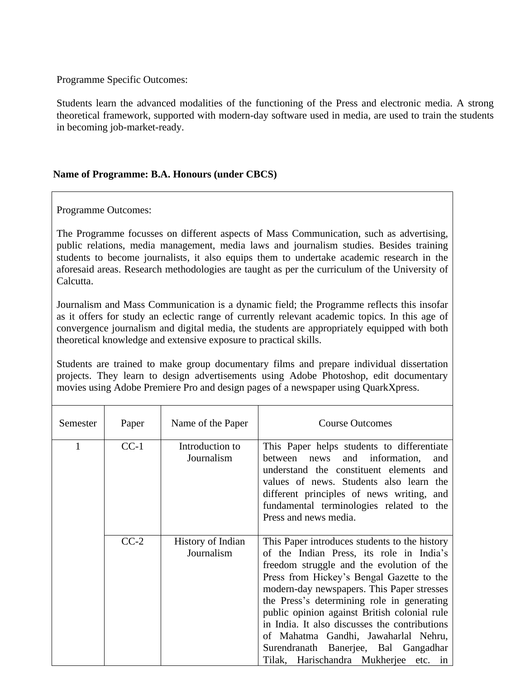Students learn the advanced modalities of the functioning of the Press and electronic media. A strong theoretical framework, supported with modern-day software used in media, are used to train the students in becoming job-market-ready.

#### **Name of Programme: B.A. Honours (under CBCS)**

Programme Outcomes:

The Programme focusses on different aspects of Mass Communication, such as advertising, public relations, media management, media laws and journalism studies. Besides training students to become journalists, it also equips them to undertake academic research in the aforesaid areas. Research methodologies are taught as per the curriculum of the University of Calcutta.

Journalism and Mass Communication is a dynamic field; the Programme reflects this insofar as it offers for study an eclectic range of currently relevant academic topics. In this age of convergence journalism and digital media, the students are appropriately equipped with both theoretical knowledge and extensive exposure to practical skills.

Students are trained to make group documentary films and prepare individual dissertation projects. They learn to design advertisements using Adobe Photoshop, edit documentary movies using Adobe Premiere Pro and design pages of a newspaper using QuarkXpress.

| Semester             | Paper  | Name of the Paper               | <b>Course Outcomes</b>                                                                                                                                                                                                                                                                                                                                                                                                                                                                                       |
|----------------------|--------|---------------------------------|--------------------------------------------------------------------------------------------------------------------------------------------------------------------------------------------------------------------------------------------------------------------------------------------------------------------------------------------------------------------------------------------------------------------------------------------------------------------------------------------------------------|
| $CC-1$<br>Journalism |        | Introduction to                 | This Paper helps students to differentiate<br>between<br>and information,<br>news<br>and<br>understand the constituent elements and<br>values of news. Students also learn the<br>different principles of news writing, and<br>fundamental terminologies related to the<br>Press and news media.                                                                                                                                                                                                             |
|                      | $CC-2$ | History of Indian<br>Journalism | This Paper introduces students to the history<br>of the Indian Press, its role in India's<br>freedom struggle and the evolution of the<br>Press from Hickey's Bengal Gazette to the<br>modern-day newspapers. This Paper stresses<br>the Press's determining role in generating<br>public opinion against British colonial rule<br>in India. It also discusses the contributions<br>of Mahatma Gandhi, Jawaharlal Nehru,<br>Surendranath Banerjee, Bal Gangadhar<br>Tilak, Harischandra Mukherjee<br>etc. in |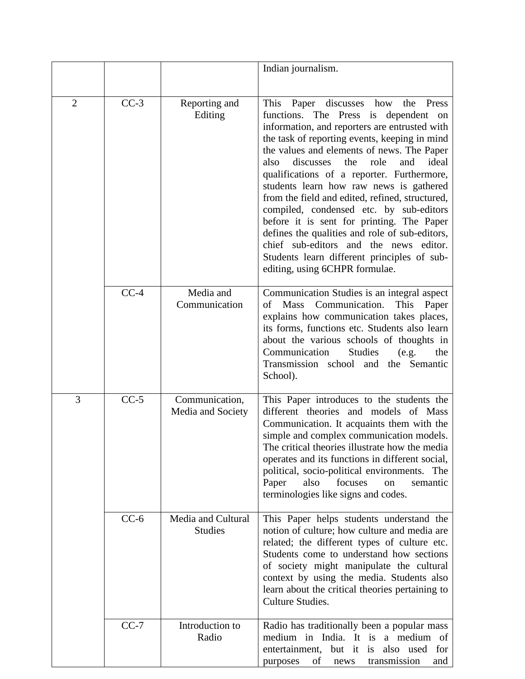|                |        |                                      | Indian journalism.                                                                                                                                                                                                                                                                                                                                                                                                                                                                                                                                                                                                                                                                                    |
|----------------|--------|--------------------------------------|-------------------------------------------------------------------------------------------------------------------------------------------------------------------------------------------------------------------------------------------------------------------------------------------------------------------------------------------------------------------------------------------------------------------------------------------------------------------------------------------------------------------------------------------------------------------------------------------------------------------------------------------------------------------------------------------------------|
| $\overline{2}$ | $CC-3$ | Reporting and<br>Editing             | This<br>Paper discusses how the Press<br>functions. The Press is dependent<br>on<br>information, and reporters are entrusted with<br>the task of reporting events, keeping in mind<br>the values and elements of news. The Paper<br>ideal<br>discusses<br>the<br>also<br>role<br>and<br>qualifications of a reporter. Furthermore,<br>students learn how raw news is gathered<br>from the field and edited, refined, structured,<br>compiled, condensed etc. by sub-editors<br>before it is sent for printing. The Paper<br>defines the qualities and role of sub-editors,<br>chief sub-editors and the news editor.<br>Students learn different principles of sub-<br>editing, using 6CHPR formulae. |
|                | $CC-4$ | Media and<br>Communication           | Communication Studies is an integral aspect<br>Communication.<br><b>Mass</b><br>This<br>οf<br>Paper<br>explains how communication takes places,<br>its forms, functions etc. Students also learn<br>about the various schools of thoughts in<br><b>Studies</b><br>Communication<br>(e.g.<br>the<br>Transmission school and the Semantic<br>School).                                                                                                                                                                                                                                                                                                                                                   |
| 3              | $CC-5$ | Communication,<br>Media and Society  | This Paper introduces to the students the<br>different theories and models of Mass<br>Communication. It acquaints them with the<br>simple and complex communication models.<br>The critical theories illustrate how the media<br>operates and its functions in different social,<br>political, socio-political environments. The<br>also<br>focuses<br>Paper<br>on<br>semantic<br>terminologies like signs and codes.                                                                                                                                                                                                                                                                                 |
|                | $CC-6$ | Media and Cultural<br><b>Studies</b> | This Paper helps students understand the<br>notion of culture; how culture and media are<br>related; the different types of culture etc.<br>Students come to understand how sections<br>of society might manipulate the cultural<br>context by using the media. Students also<br>learn about the critical theories pertaining to<br>Culture Studies.                                                                                                                                                                                                                                                                                                                                                  |
|                | $CC-7$ | Introduction to<br>Radio             | Radio has traditionally been a popular mass<br>medium in India. It is a medium of<br>entertainment, but it is also used<br>for<br>transmission<br>of<br>purposes<br>news<br>and                                                                                                                                                                                                                                                                                                                                                                                                                                                                                                                       |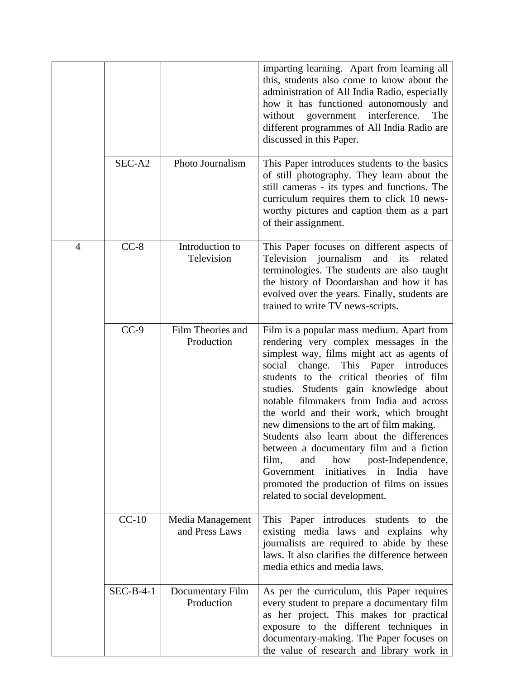|                |             |                                    | imparting learning. Apart from learning all<br>this, students also come to know about the<br>administration of All India Radio, especially<br>how it has functioned autonomously and<br>interference.<br>without<br>government<br>The<br>different programmes of All India Radio are<br>discussed in this Paper.                                                                                                                                                                                                                                                                                                                                                                  |
|----------------|-------------|------------------------------------|-----------------------------------------------------------------------------------------------------------------------------------------------------------------------------------------------------------------------------------------------------------------------------------------------------------------------------------------------------------------------------------------------------------------------------------------------------------------------------------------------------------------------------------------------------------------------------------------------------------------------------------------------------------------------------------|
|                | SEC-A2      | Photo Journalism                   | This Paper introduces students to the basics<br>of still photography. They learn about the<br>still cameras - its types and functions. The<br>curriculum requires them to click 10 news-<br>worthy pictures and caption them as a part<br>of their assignment.                                                                                                                                                                                                                                                                                                                                                                                                                    |
| $\overline{4}$ | $CC-8$      | Introduction to<br>Television      | This Paper focuses on different aspects of<br>Television<br>journalism<br>and<br>its<br>related<br>terminologies. The students are also taught<br>the history of Doordarshan and how it has<br>evolved over the years. Finally, students are<br>trained to write TV news-scripts.                                                                                                                                                                                                                                                                                                                                                                                                 |
|                | $CC-9$      | Film Theories and<br>Production    | Film is a popular mass medium. Apart from<br>rendering very complex messages in the<br>simplest way, films might act as agents of<br>change.<br>This Paper introduces<br>social<br>students to the critical theories of film<br>studies. Students gain knowledge about<br>notable filmmakers from India and across<br>the world and their work, which brought<br>new dimensions to the art of film making.<br>Students also learn about the differences<br>between a documentary film and a fiction<br>how<br>post-Independence,<br>film,<br>and<br>in India<br>Government<br>initiatives<br>have<br>promoted the production of films on issues<br>related to social development. |
|                | $CC-10$     | Media Management<br>and Press Laws | This Paper introduces students to<br>the<br>existing media laws and explains<br>why<br>journalists are required to abide by these<br>laws. It also clarifies the difference between<br>media ethics and media laws.                                                                                                                                                                                                                                                                                                                                                                                                                                                               |
|                | $SEC-B-4-1$ | Documentary Film<br>Production     | As per the curriculum, this Paper requires<br>every student to prepare a documentary film<br>as her project. This makes for practical<br>exposure to the different techniques in<br>documentary-making. The Paper focuses on<br>the value of research and library work in                                                                                                                                                                                                                                                                                                                                                                                                         |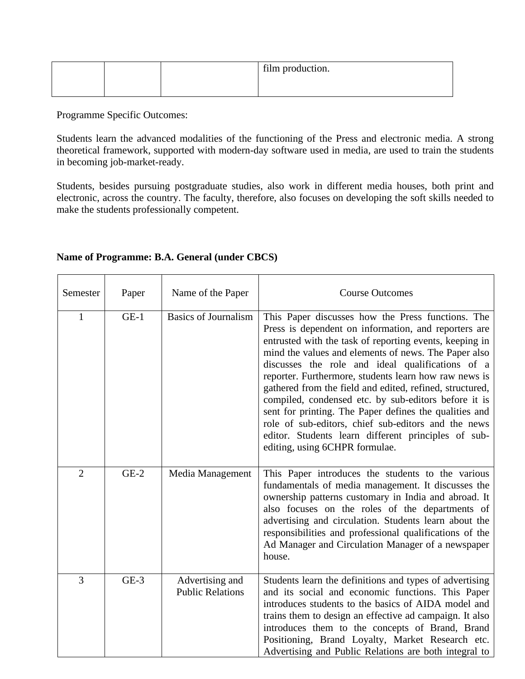|  | film production. |
|--|------------------|
|  |                  |

Students learn the advanced modalities of the functioning of the Press and electronic media. A strong theoretical framework, supported with modern-day software used in media, are used to train the students in becoming job-market-ready.

Students, besides pursuing postgraduate studies, also work in different media houses, both print and electronic, across the country. The faculty, therefore, also focuses on developing the soft skills needed to make the students professionally competent.

| Semester       | Paper  | Name of the Paper                          | <b>Course Outcomes</b>                                                                                                                                                                                                                                                                                                                                                                                                                                                                                                                                                                                                                                                  |
|----------------|--------|--------------------------------------------|-------------------------------------------------------------------------------------------------------------------------------------------------------------------------------------------------------------------------------------------------------------------------------------------------------------------------------------------------------------------------------------------------------------------------------------------------------------------------------------------------------------------------------------------------------------------------------------------------------------------------------------------------------------------------|
| $\mathbf{1}$   | $GE-1$ | <b>Basics of Journalism</b>                | This Paper discusses how the Press functions. The<br>Press is dependent on information, and reporters are<br>entrusted with the task of reporting events, keeping in<br>mind the values and elements of news. The Paper also<br>discusses the role and ideal qualifications of a<br>reporter. Furthermore, students learn how raw news is<br>gathered from the field and edited, refined, structured,<br>compiled, condensed etc. by sub-editors before it is<br>sent for printing. The Paper defines the qualities and<br>role of sub-editors, chief sub-editors and the news<br>editor. Students learn different principles of sub-<br>editing, using 6CHPR formulae. |
| $\overline{2}$ | $GE-2$ | Media Management                           | This Paper introduces the students to the various<br>fundamentals of media management. It discusses the<br>ownership patterns customary in India and abroad. It<br>also focuses on the roles of the departments of<br>advertising and circulation. Students learn about the<br>responsibilities and professional qualifications of the<br>Ad Manager and Circulation Manager of a newspaper<br>house.                                                                                                                                                                                                                                                                   |
| 3              | $GE-3$ | Advertising and<br><b>Public Relations</b> | Students learn the definitions and types of advertising<br>and its social and economic functions. This Paper<br>introduces students to the basics of AIDA model and<br>trains them to design an effective ad campaign. It also<br>introduces them to the concepts of Brand, Brand<br>Positioning, Brand Loyalty, Market Research etc.<br>Advertising and Public Relations are both integral to                                                                                                                                                                                                                                                                          |

### **Name of Programme: B.A. General (under CBCS)**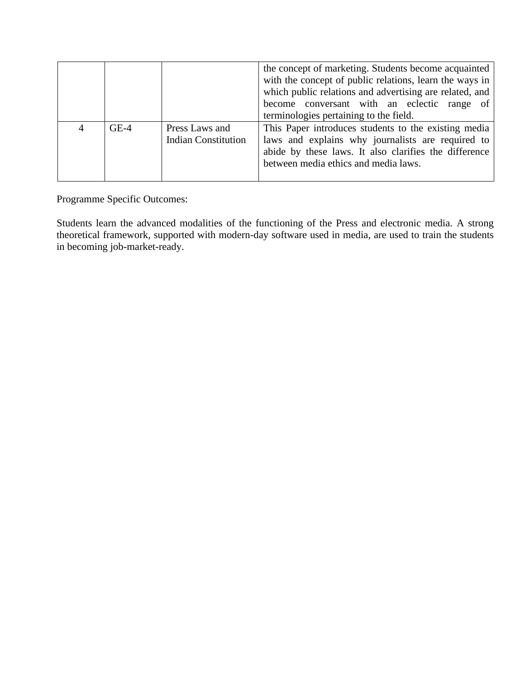|        |                                              | the concept of marketing. Students become acquainted<br>with the concept of public relations, learn the ways in<br>which public relations and advertising are related, and<br>become conversant with an eclectic range of<br>terminologies pertaining to the field. |  |
|--------|----------------------------------------------|---------------------------------------------------------------------------------------------------------------------------------------------------------------------------------------------------------------------------------------------------------------------|--|
| $GE-4$ | Press Laws and<br><b>Indian Constitution</b> | This Paper introduces students to the existing media<br>laws and explains why journalists are required to<br>abide by these laws. It also clarifies the difference<br>between media ethics and media laws.                                                          |  |

Students learn the advanced modalities of the functioning of the Press and electronic media. A strong theoretical framework, supported with modern-day software used in media, are used to train the students in becoming job-market-ready.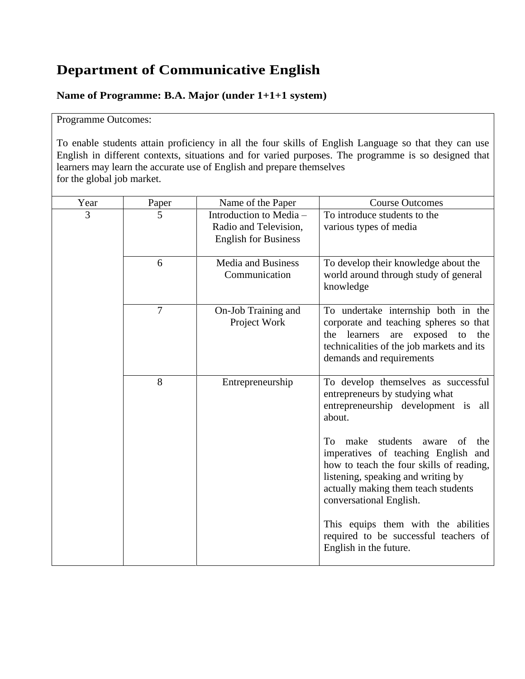## **Department of Communicative English**

### **Name of Programme: B.A. Major (under 1+1+1 system)**

### Programme Outcomes:

To enable students attain proficiency in all the four skills of English Language so that they can use English in different contexts, situations and for varied purposes. The programme is so designed that learners may learn the accurate use of English and prepare themselves for the global job market.

| Year | Paper          | Name of the Paper                                                               | <b>Course Outcomes</b>                                                                                                                                                                                                                   |
|------|----------------|---------------------------------------------------------------------------------|------------------------------------------------------------------------------------------------------------------------------------------------------------------------------------------------------------------------------------------|
| 3    | 5              | Introduction to Media -<br>Radio and Television,<br><b>English for Business</b> | To introduce students to the<br>various types of media                                                                                                                                                                                   |
|      | 6              | <b>Media and Business</b><br>Communication                                      | To develop their knowledge about the<br>world around through study of general<br>knowledge                                                                                                                                               |
|      | $\overline{7}$ | On-Job Training and<br>Project Work                                             | To undertake internship both in the<br>corporate and teaching spheres so that<br>learners<br>the<br>exposed<br>to<br>the<br>are<br>technicalities of the job markets and its<br>demands and requirements                                 |
|      | 8              | Entrepreneurship                                                                | To develop themselves as successful<br>entrepreneurs by studying what<br>entrepreneurship development is all<br>about.                                                                                                                   |
|      |                |                                                                                 | make<br>students<br>To.<br>aware<br>of<br>the<br>imperatives of teaching English and<br>how to teach the four skills of reading,<br>listening, speaking and writing by<br>actually making them teach students<br>conversational English. |
|      |                |                                                                                 | This equips them with the abilities<br>required to be successful teachers of<br>English in the future.                                                                                                                                   |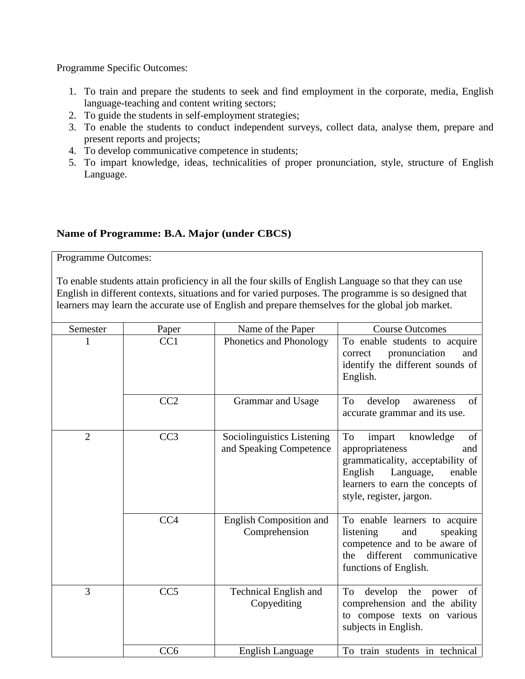- 1. To train and prepare the students to seek and find employment in the corporate, media, English language-teaching and content writing sectors;
- 2. To guide the students in self-employment strategies;
- 3. To enable the students to conduct independent surveys, collect data, analyse them, prepare and present reports and projects;
- 4. To develop communicative competence in students;
- 5. To impart knowledge, ideas, technicalities of proper pronunciation, style, structure of English Language.

### **Name of Programme: B.A. Major (under CBCS)**

Programme Outcomes:

To enable students attain proficiency in all the four skills of English Language so that they can use English in different contexts, situations and for varied purposes. The programme is so designed that learners may learn the accurate use of English and prepare themselves for the global job market.

| Semester | Paper           | Name of the Paper                                     | <b>Course Outcomes</b>                                                                                                                                                                          |
|----------|-----------------|-------------------------------------------------------|-------------------------------------------------------------------------------------------------------------------------------------------------------------------------------------------------|
| 1        | CC1             | Phonetics and Phonology                               | To enable students to acquire<br>pronunciation<br>and<br>correct<br>identify the different sounds of<br>English.                                                                                |
|          | CC2             | Grammar and Usage                                     | of<br>To<br>develop<br>awareness<br>accurate grammar and its use.                                                                                                                               |
| 2        | CC <sub>3</sub> | Sociolinguistics Listening<br>and Speaking Competence | To<br>of<br>knowledge<br>impart<br>appropriateness<br>and<br>grammaticality, acceptability of<br>English<br>Language,<br>enable<br>learners to earn the concepts of<br>style, register, jargon. |
|          | CC <sub>4</sub> | English Composition and<br>Comprehension              | To enable learners to acquire<br>listening<br>speaking<br>and<br>competence and to be aware of<br>different<br>communicative<br>the<br>functions of English.                                    |
| 3        | CC <sub>5</sub> | <b>Technical English and</b><br>Copyediting           | To<br>develop<br>the<br>of<br>power<br>comprehension and the ability<br>to compose texts on various<br>subjects in English.                                                                     |
|          | CC <sub>6</sub> | <b>English Language</b>                               | To train students in technical                                                                                                                                                                  |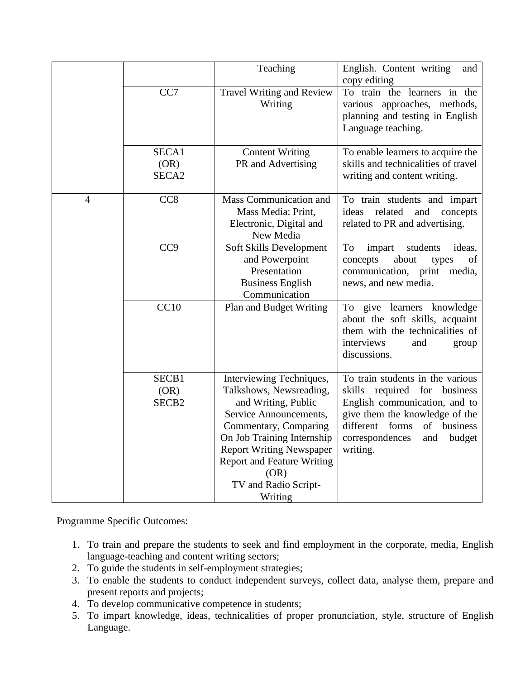|                |                                    | Teaching                                                                                                                                                                                                                                                                       | English. Content writing<br>and<br>copy editing                                                                                                                                                                             |
|----------------|------------------------------------|--------------------------------------------------------------------------------------------------------------------------------------------------------------------------------------------------------------------------------------------------------------------------------|-----------------------------------------------------------------------------------------------------------------------------------------------------------------------------------------------------------------------------|
|                | CC7                                | Travel Writing and Review<br>Writing                                                                                                                                                                                                                                           | To train the learners in the<br>various approaches, methods,<br>planning and testing in English<br>Language teaching.                                                                                                       |
|                | SECA1<br>(OR)<br>SECA <sub>2</sub> | <b>Content Writing</b><br>PR and Advertising                                                                                                                                                                                                                                   | To enable learners to acquire the<br>skills and technicalities of travel<br>writing and content writing.                                                                                                                    |
| $\overline{4}$ | CC <sub>8</sub>                    | Mass Communication and<br>Mass Media: Print,<br>Electronic, Digital and<br>New Media                                                                                                                                                                                           | To train students and impart<br>related<br>ideas<br>and<br>concepts<br>related to PR and advertising.                                                                                                                       |
|                | CC <sub>9</sub>                    | Soft Skills Development<br>and Powerpoint<br>Presentation<br><b>Business English</b><br>Communication                                                                                                                                                                          | To<br>impart<br>students<br>ideas,<br>about<br>concepts<br>of<br>types<br>communication, print<br>media,<br>news, and new media.                                                                                            |
|                | CC10                               | Plan and Budget Writing                                                                                                                                                                                                                                                        | To give learners knowledge<br>about the soft skills, acquaint<br>them with the technicalities of<br>interviews<br>and<br>group<br>discussions.                                                                              |
|                | SECB1<br>(OR)<br>SECB <sub>2</sub> | Interviewing Techniques,<br>Talkshows, Newsreading,<br>and Writing, Public<br>Service Announcements,<br>Commentary, Comparing<br>On Job Training Internship<br><b>Report Writing Newspaper</b><br><b>Report and Feature Writing</b><br>(OR)<br>TV and Radio Script-<br>Writing | To train students in the various<br>skills<br>required for business<br>English communication, and to<br>give them the knowledge of the<br>different forms<br>of<br>business<br>correspondences<br>budget<br>and<br>writing. |

- 1. To train and prepare the students to seek and find employment in the corporate, media, English language-teaching and content writing sectors;
- 2. To guide the students in self-employment strategies;
- 3. To enable the students to conduct independent surveys, collect data, analyse them, prepare and present reports and projects;
- 4. To develop communicative competence in students;
- 5. To impart knowledge, ideas, technicalities of proper pronunciation, style, structure of English Language.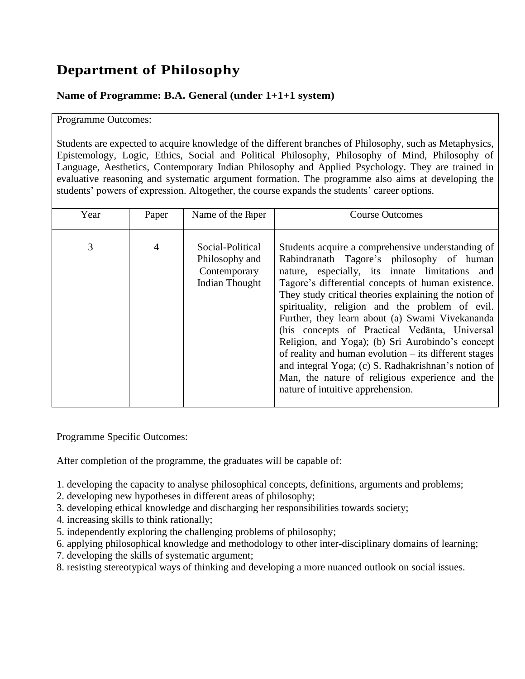## **Department of Philosophy**

### **Name of Programme: B.A. General (under 1+1+1 system)**

#### Programme Outcomes:

Students are expected to acquire knowledge of the different branches of Philosophy, such as Metaphysics, Epistemology, Logic, Ethics, Social and Political Philosophy, Philosophy of Mind, Philosophy of Language, Aesthetics, Contemporary Indian Philosophy and Applied Psychology. They are trained in evaluative reasoning and systematic argument formation. The programme also aims at developing the students' powers of expression. Altogether, the course expands the students' career options.

| Year | Paper | Name of the Paper                                                           | <b>Course Outcomes</b>                                                                                                                                                                                                                                                                                                                                                                                                                                                                                                                                                                                                                                                               |
|------|-------|-----------------------------------------------------------------------------|--------------------------------------------------------------------------------------------------------------------------------------------------------------------------------------------------------------------------------------------------------------------------------------------------------------------------------------------------------------------------------------------------------------------------------------------------------------------------------------------------------------------------------------------------------------------------------------------------------------------------------------------------------------------------------------|
| 3    | 4     | Social-Political<br>Philosophy and<br>Contemporary<br><b>Indian Thought</b> | Students acquire a comprehensive understanding of<br>Rabindranath Tagore's philosophy of human<br>nature, especially, its innate limitations and<br>Tagore's differential concepts of human existence.<br>They study critical theories explaining the notion of<br>spirituality, religion and the problem of evil.<br>Further, they learn about (a) Swami Vivekananda<br>(his concepts of Practical Vedanta, Universal<br>Religion, and Yoga); (b) Sri Aurobindo's concept<br>of reality and human evolution $-$ its different stages<br>and integral Yoga; (c) S. Radhakrishnan's notion of<br>Man, the nature of religious experience and the<br>nature of intuitive apprehension. |

Programme Specific Outcomes:

After completion of the programme, the graduates will be capable of:

- 1. developing the capacity to analyse philosophical concepts, definitions, arguments and problems;
- 2. developing new hypotheses in different areas of philosophy;
- 3. developing ethical knowledge and discharging her responsibilities towards society;
- 4. increasing skills to think rationally;
- 5. independently exploring the challenging problems of philosophy;
- 6. applying philosophical knowledge and methodology to other inter-disciplinary domains of learning;
- 7. developing the skills of systematic argument;
- 8. resisting stereotypical ways of thinking and developing a more nuanced outlook on social issues.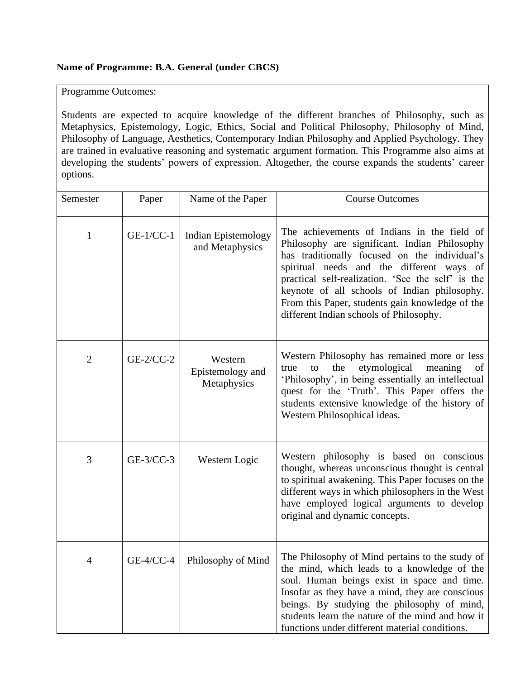#### **Name of Programme: B.A. General (under CBCS)**

Programme Outcomes:

Students are expected to acquire knowledge of the different branches of Philosophy, such as Metaphysics, Epistemology, Logic, Ethics, Social and Political Philosophy, Philosophy of Mind, Philosophy of Language, Aesthetics, Contemporary Indian Philosophy and Applied Psychology. They are trained in evaluative reasoning and systematic argument formation. This Programme also aims at developing the students' powers of expression. Altogether, the course expands the students' career options.

| Semester       | Paper       | Name of the Paper                          | <b>Course Outcomes</b>                                                                                                                                                                                                                                                                                                                                                                        |
|----------------|-------------|--------------------------------------------|-----------------------------------------------------------------------------------------------------------------------------------------------------------------------------------------------------------------------------------------------------------------------------------------------------------------------------------------------------------------------------------------------|
| $\mathbf{1}$   | $GE-1/CC-1$ | Indian Epistemology<br>and Metaphysics     | The achievements of Indians in the field of<br>Philosophy are significant. Indian Philosophy<br>has traditionally focused on the individual's<br>spiritual needs and the different ways of<br>practical self-realization. 'See the self' is the<br>keynote of all schools of Indian philosophy.<br>From this Paper, students gain knowledge of the<br>different Indian schools of Philosophy. |
| $\overline{2}$ | $GE-2/CC-2$ | Western<br>Epistemology and<br>Metaphysics | Western Philosophy has remained more or less<br>the<br>etymological<br>meaning<br>true<br>to<br>of<br>'Philosophy', in being essentially an intellectual<br>quest for the 'Truth'. This Paper offers the<br>students extensive knowledge of the history of<br>Western Philosophical ideas.                                                                                                    |
| 3              | $GE-3/CC-3$ | Western Logic                              | Western philosophy is based on conscious<br>thought, whereas unconscious thought is central<br>to spiritual awakening. This Paper focuses on the<br>different ways in which philosophers in the West<br>have employed logical arguments to develop<br>original and dynamic concepts.                                                                                                          |
| 4              | GE-4/CC-4   | Philosophy of Mind                         | The Philosophy of Mind pertains to the study of<br>the mind, which leads to a knowledge of the<br>soul. Human beings exist in space and time.<br>Insofar as they have a mind, they are conscious<br>beings. By studying the philosophy of mind,<br>students learn the nature of the mind and how it<br>functions under different material conditions.                                         |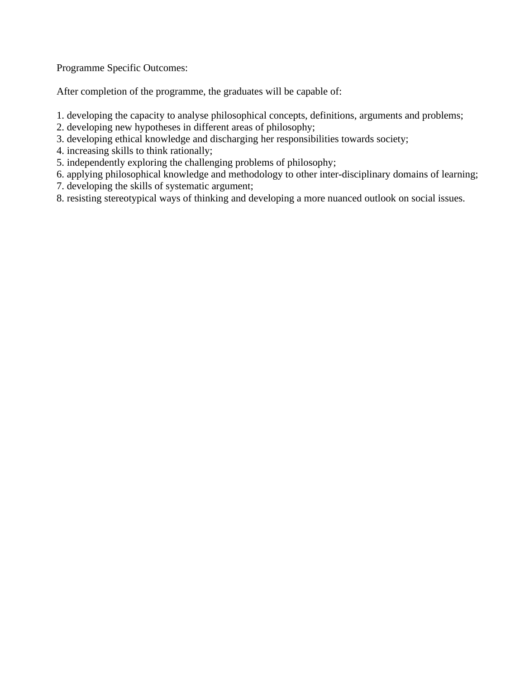After completion of the programme, the graduates will be capable of:

1. developing the capacity to analyse philosophical concepts, definitions, arguments and problems;

- 2. developing new hypotheses in different areas of philosophy;
- 3. developing ethical knowledge and discharging her responsibilities towards society;
- 4. increasing skills to think rationally;
- 5. independently exploring the challenging problems of philosophy;
- 6. applying philosophical knowledge and methodology to other inter-disciplinary domains of learning;
- 7. developing the skills of systematic argument;
- 8. resisting stereotypical ways of thinking and developing a more nuanced outlook on social issues.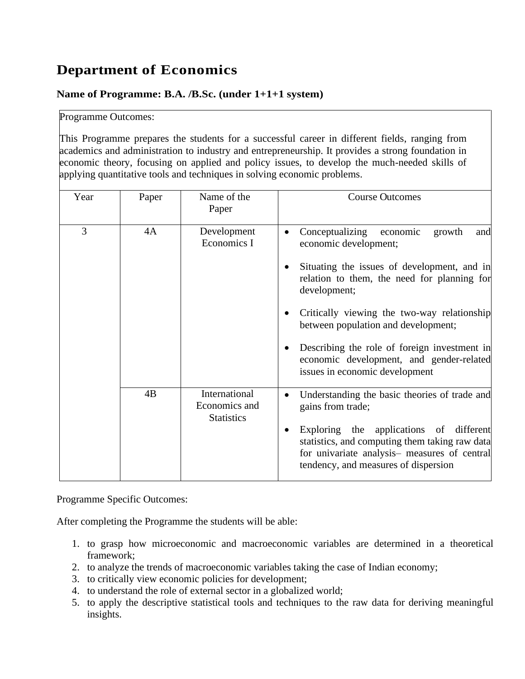## **Department of Economics**

### **Name of Programme: B.A. /B.Sc. (under 1+1+1 system)**

#### Programme Outcomes:

This Programme prepares the students for a successful career in different fields, ranging from academics and administration to industry and entrepreneurship. It provides a strong foundation in economic theory, focusing on applied and policy issues, to develop the much-needed skills of applying quantitative tools and techniques in solving economic problems.

| Year | Paper | Name of the<br>Paper                                | <b>Course Outcomes</b>                                                                                                                                                                                                                                                                                                                                                                                  |
|------|-------|-----------------------------------------------------|---------------------------------------------------------------------------------------------------------------------------------------------------------------------------------------------------------------------------------------------------------------------------------------------------------------------------------------------------------------------------------------------------------|
| 3    | 4A    | Development<br>Economics I                          | Conceptualizing<br>economic<br>growth<br>and<br>economic development;<br>Situating the issues of development, and in<br>relation to them, the need for planning for<br>development;<br>Critically viewing the two-way relationship<br>between population and development;<br>Describing the role of foreign investment in<br>economic development, and gender-related<br>issues in economic development |
|      | 4B    | International<br>Economics and<br><b>Statistics</b> | Understanding the basic theories of trade and<br>gains from trade;<br>Exploring the applications of different<br>statistics, and computing them taking raw data<br>for univariate analysis- measures of central<br>tendency, and measures of dispersion                                                                                                                                                 |

Programme Specific Outcomes:

After completing the Programme the students will be able:

- 1. to grasp how microeconomic and macroeconomic variables are determined in a theoretical framework;
- 2. to analyze the trends of macroeconomic variables taking the case of Indian economy;
- 3. to critically view economic policies for development;
- 4. to understand the role of external sector in a globalized world;
- 5. to apply the descriptive statistical tools and techniques to the raw data for deriving meaningful insights.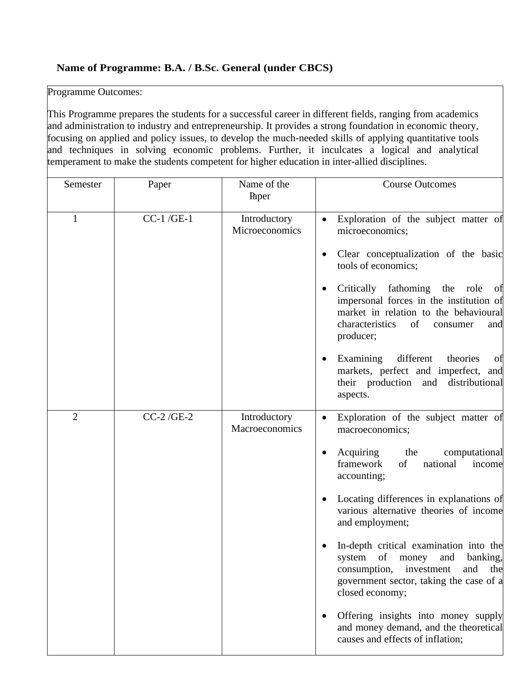## **Name of Programme: B.A. / B.Sc. General (under CBCS)**

## Programme Outcomes:

This Programme prepares the students for a successful career in different fields, ranging from academics and administration to industry and entrepreneurship. It provides a strong foundation in economic theory, focusing on applied and policy issues, to develop the much-needed skills of applying quantitative tools and techniques in solving economic problems. Further, it inculcates a logical and analytical temperament to make the students competent for higher education in inter-allied disciplines.

| Semester       | Paper       | Name of the<br>Paper           | <b>Course Outcomes</b>                                                                                                                                                                                                                                                                                                                                                                                                                                                                                                                                                  |
|----------------|-------------|--------------------------------|-------------------------------------------------------------------------------------------------------------------------------------------------------------------------------------------------------------------------------------------------------------------------------------------------------------------------------------------------------------------------------------------------------------------------------------------------------------------------------------------------------------------------------------------------------------------------|
| 1              | $CC-1/GE-1$ | Introductory<br>Microeconomics | Exploration of the subject matter of<br>microeconomics;<br>Clear conceptualization of the basic<br>tools of economics;<br>Critically fathoming<br>the<br>role<br>Οİ<br>impersonal forces in the institution of<br>market in relation to the behavioural<br>characteristics<br>of<br>consumer<br>and<br>producer;<br>Examining<br>different<br>theories<br>of<br>٠<br>markets, perfect and imperfect, and<br>their production<br>and distributional<br>aspects.                                                                                                          |
| $\overline{2}$ | $CC-2/GE-2$ | Introductory<br>Macroeconomics | Exploration of the subject matter of<br>macroeconomics;<br>Acquiring<br>computational<br>the<br>framework<br>of<br>national<br>income<br>accounting;<br>Locating differences in explanations of<br>various alternative theories of income<br>and employment;<br>In-depth critical examination into the<br>system of money<br>and banking,<br>the<br>consumption,<br>investment<br>and<br>government sector, taking the case of a<br>closed economy;<br>Offering insights into money supply<br>and money demand, and the theoretical<br>causes and effects of inflation; |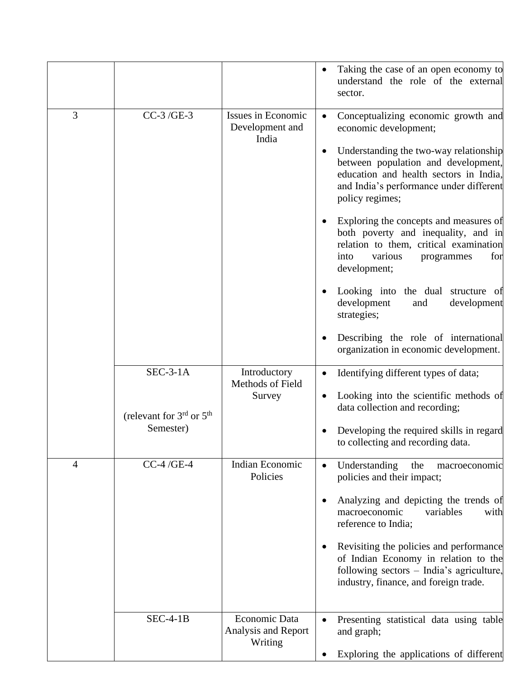|                |                                                                             |                                                 | Taking the case of an open economy to<br>understand the role of the external<br>sector.                                                                                                                                                                                                                                                                                                                                                                                                                                                                                                                                  |
|----------------|-----------------------------------------------------------------------------|-------------------------------------------------|--------------------------------------------------------------------------------------------------------------------------------------------------------------------------------------------------------------------------------------------------------------------------------------------------------------------------------------------------------------------------------------------------------------------------------------------------------------------------------------------------------------------------------------------------------------------------------------------------------------------------|
| 3              | CC-3/GE-3                                                                   | Issues in Economic<br>Development and<br>India  | Conceptualizing economic growth and<br>economic development;<br>Understanding the two-way relationship<br>between population and development,<br>education and health sectors in India,<br>and India's performance under different<br>policy regimes;<br>Exploring the concepts and measures of<br>both poverty and inequality, and in<br>relation to them, critical examination<br>into<br>various<br>programmes<br>for<br>development;<br>Looking into the dual structure of<br>development<br>development<br>and<br>strategies;<br>Describing the role of international<br>٠<br>organization in economic development. |
|                | $SEC-3-1A$<br>(relevant for 3 <sup>rd</sup> or 5 <sup>th</sup><br>Semester) | Introductory<br>Methods of Field<br>Survey      | Identifying different types of data;<br>Looking into the scientific methods of<br>data collection and recording;<br>Developing the required skills in regard<br>to collecting and recording data.                                                                                                                                                                                                                                                                                                                                                                                                                        |
| $\overline{4}$ | $CC-4/GE-4$                                                                 | Indian Economic<br>Policies                     | Understanding<br>the<br>macroeconomic<br>policies and their impact;<br>Analyzing and depicting the trends of<br>macroeconomic<br>variables<br>with<br>reference to India;<br>Revisiting the policies and performance<br>of Indian Economy in relation to the<br>following sectors - India's agriculture,<br>industry, finance, and foreign trade.                                                                                                                                                                                                                                                                        |
|                | $SEC-4-1B$                                                                  | Economic Data<br>Analysis and Report<br>Writing | Presenting statistical data using table<br>and graph;<br>Exploring the applications of different                                                                                                                                                                                                                                                                                                                                                                                                                                                                                                                         |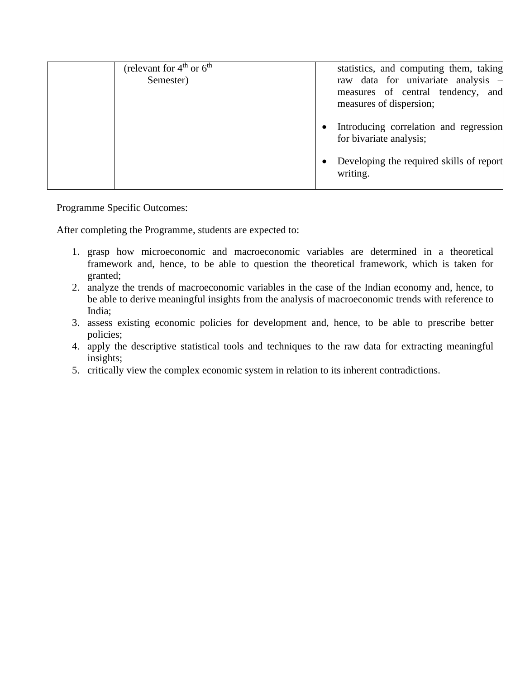| (relevant for $4th$ or $6th$<br>Semester) | statistics, and computing them, taking<br>raw data for univariate analysis $-$<br>measures of central tendency, and<br>measures of dispersion; |
|-------------------------------------------|------------------------------------------------------------------------------------------------------------------------------------------------|
|                                           | Introducing correlation and regression<br>for bivariate analysis;                                                                              |
|                                           | Developing the required skills of report<br>writing.                                                                                           |

After completing the Programme, students are expected to:

- 1. grasp how microeconomic and macroeconomic variables are determined in a theoretical framework and, hence, to be able to question the theoretical framework, which is taken for granted;
- 2. analyze the trends of macroeconomic variables in the case of the Indian economy and, hence, to be able to derive meaningful insights from the analysis of macroeconomic trends with reference to India;
- 3. assess existing economic policies for development and, hence, to be able to prescribe better policies;
- 4. apply the descriptive statistical tools and techniques to the raw data for extracting meaningful insights;
- 5. critically view the complex economic system in relation to its inherent contradictions.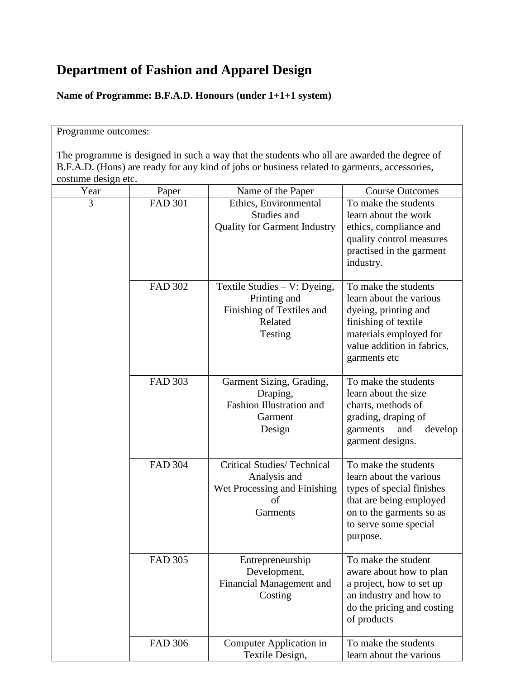## **Department of Fashion and Apparel Design**

**Name of Programme: B.F.A.D. Honours (under 1+1+1 system)**

#### Programme outcomes:

The programme is designed in such a way that the students who all are awarded the degree of B.F.A.D. (Hons) are ready for any kind of jobs or business related to garments, accessories, costume design etc.

| Year | Paper          | Name of the Paper                                                                                 | <b>Course Outcomes</b>                                                                                                                                                   |
|------|----------------|---------------------------------------------------------------------------------------------------|--------------------------------------------------------------------------------------------------------------------------------------------------------------------------|
| 3    | <b>FAD 301</b> | Ethics, Environmental<br>Studies and<br><b>Quality for Garment Industry</b>                       | To make the students<br>learn about the work<br>ethics, compliance and<br>quality control measures<br>practised in the garment<br>industry.                              |
|      | <b>FAD 302</b> | Textile Studies $-$ V: Dyeing,<br>Printing and<br>Finishing of Textiles and<br>Related<br>Testing | To make the students<br>learn about the various<br>dyeing, printing and<br>finishing of textile<br>materials employed for<br>value addition in fabrics,<br>garments etc  |
|      | <b>FAD 303</b> | Garment Sizing, Grading,<br>Draping,<br><b>Fashion Illustration and</b><br>Garment<br>Design      | To make the students<br>learn about the size<br>charts, methods of<br>grading, draping of<br>garments<br>and<br>develop<br>garment designs.                              |
|      | <b>FAD 304</b> | Critical Studies/Technical<br>Analysis and<br>Wet Processing and Finishing<br>of<br>Garments      | To make the students<br>learn about the various<br>types of special finishes<br>that are being employed<br>on to the garments so as<br>to serve some special<br>purpose. |
|      | <b>FAD 305</b> | Entrepreneurship<br>Development,<br>Financial Management and<br>Costing                           | To make the student<br>aware about how to plan<br>a project, how to set up<br>an industry and how to<br>do the pricing and costing<br>of products                        |
|      | <b>FAD 306</b> | Computer Application in<br>Textile Design,                                                        | To make the students<br>learn about the various                                                                                                                          |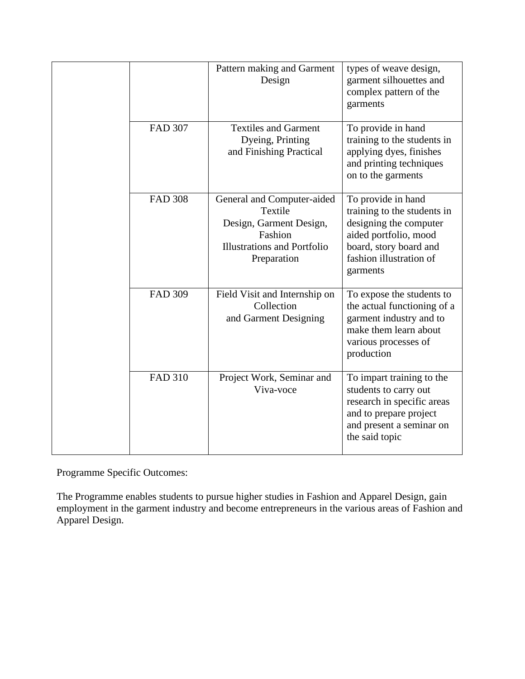|                | Pattern making and Garment<br>Design                                                                                             | types of weave design,<br>garment silhouettes and<br>complex pattern of the<br>garments                                                                               |
|----------------|----------------------------------------------------------------------------------------------------------------------------------|-----------------------------------------------------------------------------------------------------------------------------------------------------------------------|
| <b>FAD 307</b> | <b>Textiles and Garment</b><br>Dyeing, Printing<br>and Finishing Practical                                                       | To provide in hand<br>training to the students in<br>applying dyes, finishes<br>and printing techniques<br>on to the garments                                         |
| <b>FAD 308</b> | General and Computer-aided<br>Textile<br>Design, Garment Design,<br>Fashion<br><b>Illustrations and Portfolio</b><br>Preparation | To provide in hand<br>training to the students in<br>designing the computer<br>aided portfolio, mood<br>board, story board and<br>fashion illustration of<br>garments |
| <b>FAD 309</b> | Field Visit and Internship on<br>Collection<br>and Garment Designing                                                             | To expose the students to<br>the actual functioning of a<br>garment industry and to<br>make them learn about<br>various processes of<br>production                    |
| <b>FAD 310</b> | Project Work, Seminar and<br>Viva-voce                                                                                           | To impart training to the<br>students to carry out<br>research in specific areas<br>and to prepare project<br>and present a seminar on<br>the said topic              |

The Programme enables students to pursue higher studies in Fashion and Apparel Design, gain employment in the garment industry and become entrepreneurs in the various areas of Fashion and Apparel Design.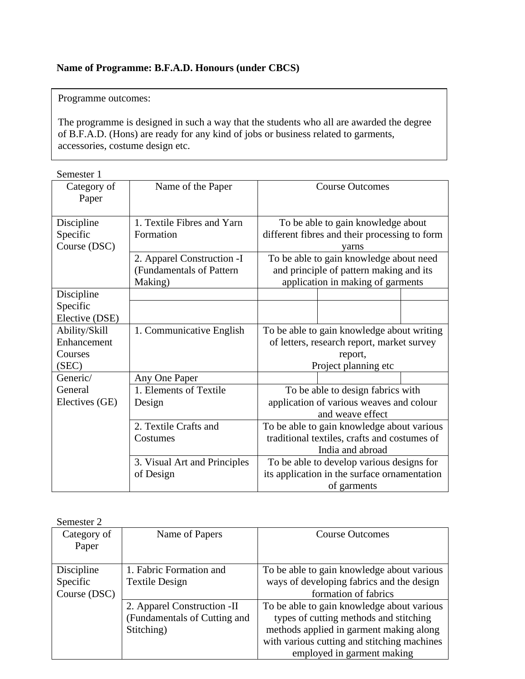### **Name of Programme: B.F.A.D. Honours (under CBCS)**

Programme outcomes:

The programme is designed in such a way that the students who all are awarded the degree of B.F.A.D. (Hons) are ready for any kind of jobs or business related to garments, accessories, costume design etc.

| semester |  |
|----------|--|
|          |  |

| Category of<br>Paper     | Name of the Paper                                                  | <b>Course Outcomes</b>                                                                                                  |
|--------------------------|--------------------------------------------------------------------|-------------------------------------------------------------------------------------------------------------------------|
| Discipline               | 1. Textile Fibres and Yarn                                         | To be able to gain knowledge about                                                                                      |
| Specific<br>Course (DSC) | Formation                                                          | different fibres and their processing to form<br>varns                                                                  |
|                          | 2. Apparel Construction - I<br>(Fundamentals of Pattern<br>Making) | To be able to gain knowledge about need<br>and principle of pattern making and its<br>application in making of garments |
| Discipline               |                                                                    |                                                                                                                         |
| Specific                 |                                                                    |                                                                                                                         |
| Elective (DSE)           |                                                                    |                                                                                                                         |
| Ability/Skill            | 1. Communicative English                                           | To be able to gain knowledge about writing                                                                              |
| Enhancement              |                                                                    | of letters, research report, market survey                                                                              |
| Courses                  |                                                                    | report,                                                                                                                 |
| (SEC)                    |                                                                    | Project planning etc                                                                                                    |
| Generic/                 | Any One Paper                                                      |                                                                                                                         |
| General                  | 1. Elements of Textile                                             | To be able to design fabrics with                                                                                       |
| Electives (GE)           | Design                                                             | application of various weaves and colour                                                                                |
|                          |                                                                    | and weave effect                                                                                                        |
|                          | 2. Textile Crafts and                                              | To be able to gain knowledge about various                                                                              |
|                          | Costumes                                                           | traditional textiles, crafts and costumes of                                                                            |
|                          |                                                                    | India and abroad                                                                                                        |
|                          | 3. Visual Art and Principles                                       | To be able to develop various designs for                                                                               |
|                          | of Design                                                          | its application in the surface ornamentation                                                                            |
|                          |                                                                    | of garments                                                                                                             |

| Semester 2   |                              |                                             |
|--------------|------------------------------|---------------------------------------------|
| Category of  | Name of Papers               | <b>Course Outcomes</b>                      |
| Paper        |                              |                                             |
|              |                              |                                             |
| Discipline   | 1. Fabric Formation and      | To be able to gain knowledge about various  |
| Specific     | <b>Textile Design</b>        | ways of developing fabrics and the design   |
| Course (DSC) |                              | formation of fabrics                        |
|              | 2. Apparel Construction - II | To be able to gain knowledge about various  |
|              | (Fundamentals of Cutting and | types of cutting methods and stitching      |
|              | Stitching)                   | methods applied in garment making along     |
|              |                              | with various cutting and stitching machines |
|              |                              | employed in garment making                  |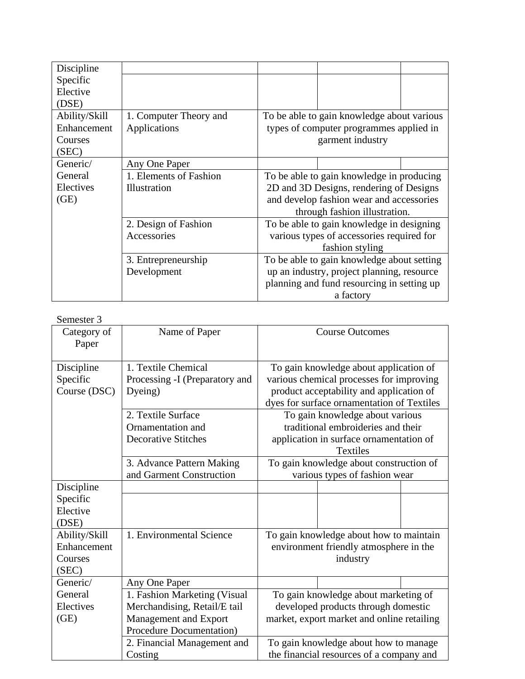| Discipline    |                        |                                            |
|---------------|------------------------|--------------------------------------------|
| Specific      |                        |                                            |
| Elective      |                        |                                            |
| (DSE)         |                        |                                            |
| Ability/Skill | 1. Computer Theory and | To be able to gain knowledge about various |
| Enhancement   | Applications           | types of computer programmes applied in    |
| Courses       |                        | garment industry                           |
| (SEC)         |                        |                                            |
| Generic/      | Any One Paper          |                                            |
| General       | 1. Elements of Fashion | To be able to gain knowledge in producing  |
| Electives     | Illustration           | 2D and 3D Designs, rendering of Designs    |
| (GE)          |                        | and develop fashion wear and accessories   |
|               |                        | through fashion illustration.              |
|               | 2. Design of Fashion   | To be able to gain knowledge in designing  |
|               | Accessories            | various types of accessories required for  |
|               |                        | fashion styling                            |
|               | 3. Entrepreneurship    | To be able to gain knowledge about setting |
|               | Development            | up an industry, project planning, resource |
|               |                        | planning and fund resourcing in setting up |
|               |                        | a factory                                  |

| Semester 3           |                                |                                                                                   |  |  |
|----------------------|--------------------------------|-----------------------------------------------------------------------------------|--|--|
| Category of<br>Paper | Name of Paper                  | <b>Course Outcomes</b>                                                            |  |  |
| Discipline           | 1. Textile Chemical            | To gain knowledge about application of                                            |  |  |
| Specific             | Processing -I (Preparatory and | various chemical processes for improving                                          |  |  |
| Course (DSC)         | Dyeing)                        | product acceptability and application of                                          |  |  |
|                      |                                | dyes for surface ornamentation of Textiles                                        |  |  |
|                      | 2. Textile Surface             | To gain knowledge about various                                                   |  |  |
|                      | Ornamentation and              | traditional embroideries and their                                                |  |  |
|                      | <b>Decorative Stitches</b>     | application in surface ornamentation of                                           |  |  |
|                      |                                | <b>Textiles</b>                                                                   |  |  |
|                      | 3. Advance Pattern Making      | To gain knowledge about construction of                                           |  |  |
|                      | and Garment Construction       | various types of fashion wear                                                     |  |  |
| Discipline           |                                |                                                                                   |  |  |
| Specific             |                                |                                                                                   |  |  |
| Elective             |                                |                                                                                   |  |  |
| (DSE)                |                                |                                                                                   |  |  |
| Ability/Skill        | 1. Environmental Science       | To gain knowledge about how to maintain                                           |  |  |
| Enhancement          |                                | environment friendly atmosphere in the                                            |  |  |
| Courses              |                                | industry                                                                          |  |  |
| (SEC)                |                                |                                                                                   |  |  |
| Generic/             | Any One Paper                  |                                                                                   |  |  |
| General              | 1. Fashion Marketing (Visual   | To gain knowledge about marketing of                                              |  |  |
| Electives            | Merchandising, Retail/E tail   | developed products through domestic                                               |  |  |
| (GE)                 | Management and Export          | market, export market and online retailing                                        |  |  |
|                      | Procedure Documentation)       |                                                                                   |  |  |
|                      | 2. Financial Management and    | To gain knowledge about how to manage<br>the financial resources of a company and |  |  |
|                      | Costing                        |                                                                                   |  |  |